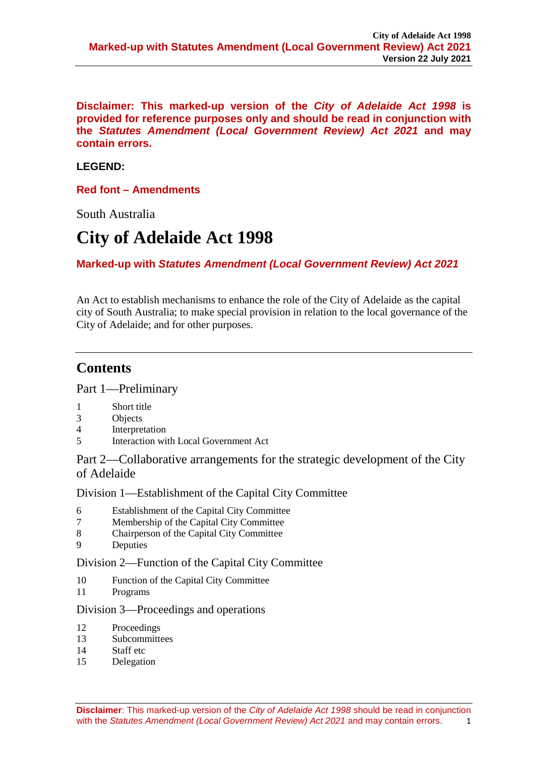**Disclaimer: This marked-up version of the** *City of Adelaide Act 1998* **is provided for reference purposes only and should be read in conjunction with the** *Statutes Amendment (Local Government Review) Act 2021* **and may contain errors.**

# **LEGEND:**

**Red font – Amendments** 

South Australia

# **City of Adelaide Act 1998**

# **Marked-up with** *Statutes Amendment (Local Government Review) Act 2021*

An Act to establish mechanisms to enhance the role of the City of Adelaide as the capital city of South Australia; to make special provision in relation to the local governance of the City of Adelaide; and for other purposes.

# **Contents**

[Part 1—Preliminary](#page-3-0)

- 1 [Short title](#page-3-1)<br>3 Objects
- 
- 3 [Objects](#page-3-2) **[Interpretation](#page-3-3)**
- 5 [Interaction with Local Government Act](#page-4-0)

[Part 2—Collaborative arrangements for the strategic development of the City](#page-4-1)  [of Adelaide](#page-4-1)

[Division 1—Establishment of the Capital City Committee](#page-4-2)

- 6 [Establishment of the Capital City Committee](#page-4-3)
- 7 [Membership of the Capital City Committee](#page-4-4)
- 8 [Chairperson of the Capital City Committee](#page-5-0)
- 9 [Deputies](#page-5-1)

# [Division 2—Function of the Capital City Committee](#page-6-0)

- 10 [Function of the Capital City Committee](#page-6-1)
- 11 [Programs](#page-6-2)

#### [Division 3—Proceedings and operations](#page-7-0)

- 12 [Proceedings](#page-7-1)
- 13 [Subcommittees](#page-7-2)
- 14 [Staff etc](#page-7-3)
- 15 [Delegation](#page-7-4)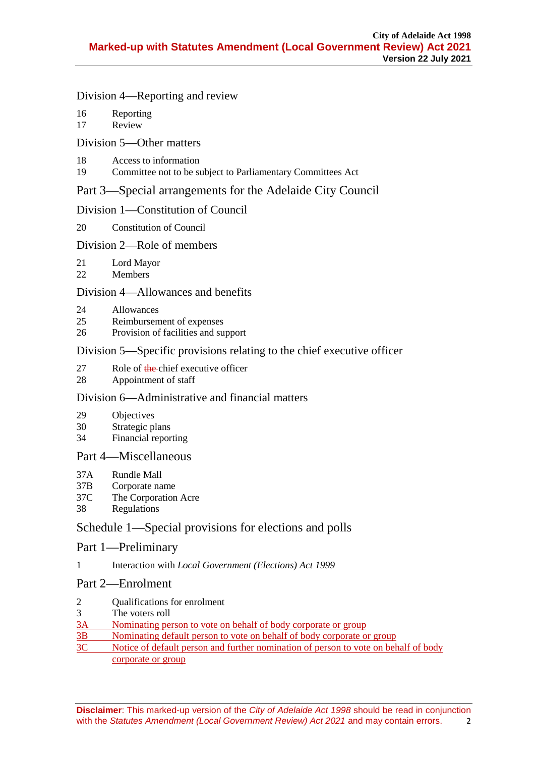### [Division 4—Reporting and review](#page-8-0)

- 16 [Reporting](#page-8-1)<br>17 Review
- **[Review](#page-8-2)**

# [Division 5—Other matters](#page-8-3)

- 18 [Access to information](#page-8-4)<br>19 Committee not to be so
- [Committee not to be subject to Parliamentary Committees Act](#page-9-0)

# [Part 3—Special arrangements for the Adelaide City Council](#page-9-1)

# [Division 1—Constitution of Council](#page-9-2)

20 [Constitution of Council](#page-9-3)

# [Division 2—Role of members](#page-10-0)

- 21 [Lord Mayor](#page-10-1)
- 22 [Members](#page-11-0)

# [Division 4—Allowances and benefits](#page-12-0)

- 24 [Allowances](#page-12-1)<br>25 Reimbursen
- [Reimbursement of expenses](#page-13-0)
- 26 [Provision of facilities and support](#page-14-0)

# [Division 5—Specific provisions relating to the chief executive officer](#page-14-1)

- 27 [Role of the chief executive officer](#page-14-2)<br>28 Appointment of staff
- [Appointment of staff](#page-15-0)

# [Division 6—Administrative and financial matters](#page-15-1)

- 29 [Objectives](#page-15-2)
- 30 [Strategic plans](#page-16-0)
- 34 [Financial reporting](#page-16-1)

# [Part 4—Miscellaneous](#page-16-2)

- 37A [Rundle Mall](#page-16-3)
- 37B [Corporate name](#page-18-0)
- 37C [The Corporation Acre](#page-18-1)
- 38 [Regulations](#page-18-2)

# [Schedule 1—Special provisions for elections and polls](#page-18-3)

# Part 1—Preliminary

1 Interaction with *[Local Government \(Elections\) Act](#page-18-4) 1999*

# Part 2—Enrolment

- 2 [Qualifications for enrolment](#page-19-0)
- 3 [The voters roll](#page-20-0)
- 3A [Nominating person to vote on behalf of body corporate or group](#page-23-0)
- 3B [Nominating default person to vote on behalf of body corporate or group](#page-23-1)
- 3C [Notice of default person and further nomination of person to vote on behalf of body](#page-24-0)  [corporate or group](#page-24-0)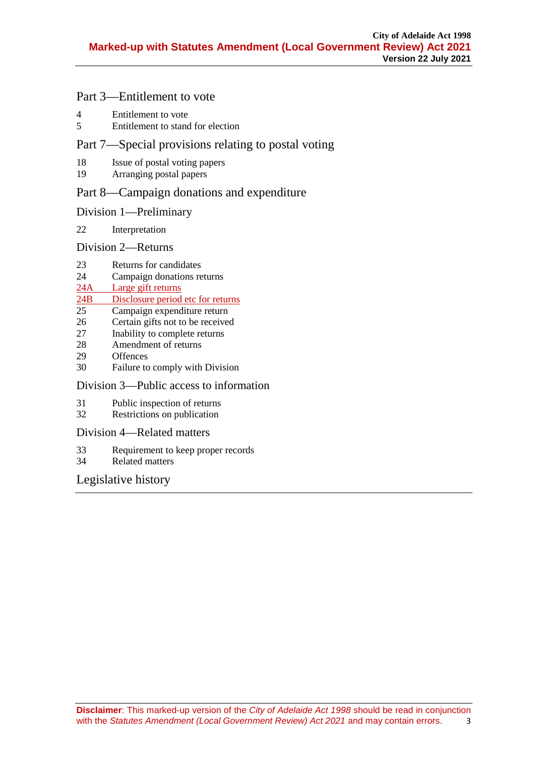# Part 3—Entitlement to vote

- 4 [Entitlement to vote](#page-24-1)<br>5 Entitlement to stand
- 5 [Entitlement to stand for election](#page-25-0)

# Part 7—Special provisions relating to postal voting

- 18 [Issue of postal voting papers](#page-27-0)<br>19 Arranging postal papers
- [Arranging postal papers](#page-29-0)

# Part 8—Campaign donations and expenditure

### Division 1—Preliminary

22 [Interpretation](#page-30-0)

### Division 2—Returns

- 23 [Returns for candidates](#page-31-0)<br>24 Campaign donations re
- [Campaign donations returns](#page-31-1)
- 24A [Large gift returns](#page-33-0)<br>24B Disclosure period

# 24B [Disclosure period etc for returns](#page-33-1)<br>25 Campaign expenditure return

- 25 [Campaign expenditure return](#page-34-0)<br>26 Certain gifts not to be received
- 26 [Certain gifts not to be received](#page-35-0)<br>27 Inability to complete returns
- 27 [Inability to complete returns](#page-36-0)<br>28 Amendment of returns
- [Amendment of returns](#page-36-1)
- 29 [Offences](#page-37-0)<br>30 Failure to
- [Failure to comply with Division](#page-37-1)

#### Division 3—Public access to information

- 31 [Public inspection of returns](#page-37-2)
- 32 [Restrictions on publication](#page-38-0)

#### Division 4—Related matters

- 33 [Requirement to keep proper records](#page-38-1)<br>34 Related matters
- [Related matters](#page-39-0)

# Legislative history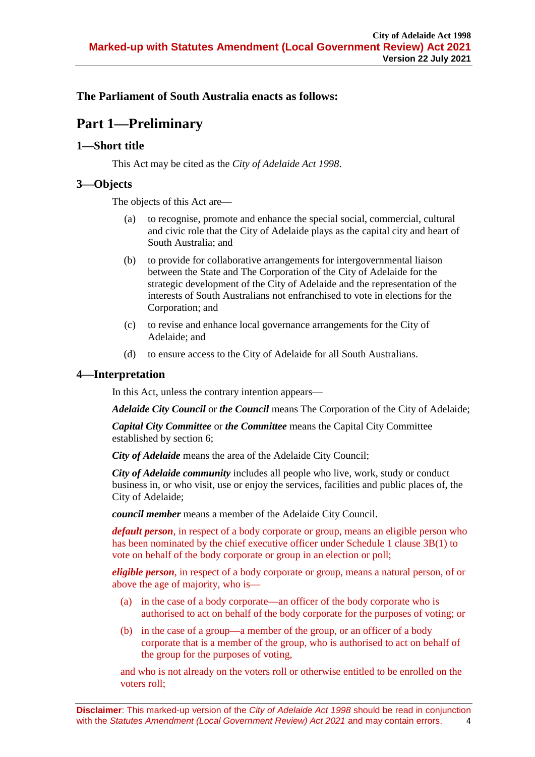<span id="page-3-0"></span>**The Parliament of South Australia enacts as follows:**

# **Part 1—Preliminary**

# <span id="page-3-1"></span>**1—Short title**

This Act may be cited as the *City of Adelaide Act 1998*.

# <span id="page-3-2"></span>**3—Objects**

The objects of this Act are—

- (a) to recognise, promote and enhance the special social, commercial, cultural and civic role that the City of Adelaide plays as the capital city and heart of South Australia; and
- (b) to provide for collaborative arrangements for intergovernmental liaison between the State and The Corporation of the City of Adelaide for the strategic development of the City of Adelaide and the representation of the interests of South Australians not enfranchised to vote in elections for the Corporation; and
- (c) to revise and enhance local governance arrangements for the City of Adelaide; and
- (d) to ensure access to the City of Adelaide for all South Australians.

# <span id="page-3-3"></span>**4—Interpretation**

In this Act, unless the contrary intention appears—

*Adelaide City Council* or *the Council* means The Corporation of the City of Adelaide;

*Capital City Committee* or *the Committee* means the Capital City Committee established by [section](#page-4-3) 6;

*City of Adelaide* means the area of the Adelaide City Council;

*City of Adelaide community* includes all people who live, work, study or conduct business in, or who visit, use or enjoy the services, facilities and public places of, the City of Adelaide;

*council member* means a member of the Adelaide City Council.

*default person*, in respect of a body corporate or group, means an eligible person who has been nominated by the chief executive officer under Schedule 1 clause 3B(1) to vote on behalf of the body corporate or group in an election or poll;

*eligible person*, in respect of a body corporate or group, means a natural person, of or above the age of majority, who is—

- (a) in the case of a body corporate—an officer of the body corporate who is authorised to act on behalf of the body corporate for the purposes of voting; or
- (b) in the case of a group—a member of the group, or an officer of a body corporate that is a member of the group, who is authorised to act on behalf of the group for the purposes of voting,

and who is not already on the voters roll or otherwise entitled to be enrolled on the voters roll;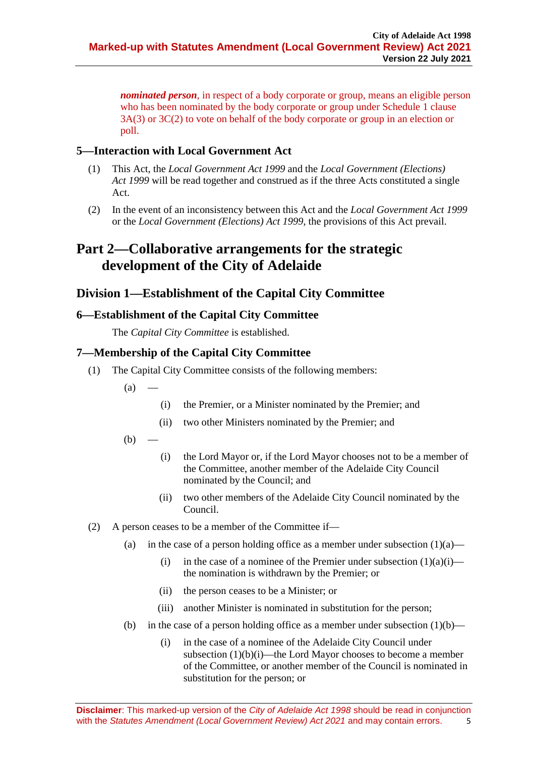*nominated person*, in respect of a body corporate or group, means an eligible person who has been nominated by the body corporate or group under Schedule 1 clause 3A(3) or 3C(2) to vote on behalf of the body corporate or group in an election or poll.

# <span id="page-4-0"></span>**5—Interaction with Local Government Act**

- (1) This Act, the *[Local Government Act](http://www.legislation.sa.gov.au/index.aspx?action=legref&type=act&legtitle=Local%20Government%20Act%201999) 1999* and the *[Local Government \(Elections\)](http://www.legislation.sa.gov.au/index.aspx?action=legref&type=act&legtitle=Local%20Government%20(Elections)%20Act%201999)  Act [1999](http://www.legislation.sa.gov.au/index.aspx?action=legref&type=act&legtitle=Local%20Government%20(Elections)%20Act%201999)* will be read together and construed as if the three Acts constituted a single Act.
- (2) In the event of an inconsistency between this Act and the *[Local Government Act](http://www.legislation.sa.gov.au/index.aspx?action=legref&type=act&legtitle=Local%20Government%20Act%201999) 1999* or the *[Local Government \(Elections\) Act](http://www.legislation.sa.gov.au/index.aspx?action=legref&type=act&legtitle=Local%20Government%20(Elections)%20Act%201999) 1999*, the provisions of this Act prevail.

# <span id="page-4-1"></span>**Part 2—Collaborative arrangements for the strategic development of the City of Adelaide**

# <span id="page-4-2"></span>**Division 1—Establishment of the Capital City Committee**

# <span id="page-4-3"></span>**6—Establishment of the Capital City Committee**

The *Capital City Committee* is established.

# <span id="page-4-4"></span>**7—Membership of the Capital City Committee**

- <span id="page-4-7"></span><span id="page-4-6"></span><span id="page-4-5"></span>(1) The Capital City Committee consists of the following members:
	- $(a)$ 
		- (i) the Premier, or a Minister nominated by the Premier; and
		- (ii) two other Ministers nominated by the Premier; and
	- $(b)$
- (i) the Lord Mayor or, if the Lord Mayor chooses not to be a member of the Committee, another member of the Adelaide City Council nominated by the Council; and
- (ii) two other members of the Adelaide City Council nominated by the Council.
- <span id="page-4-9"></span><span id="page-4-8"></span>(2) A person ceases to be a member of the Committee if
	- (a) in the case of a person holding office as a member under [subsection](#page-4-5)  $(1)(a)$ 
		- (i) in the case of a nominee of the Premier under [subsection](#page-4-6)  $(1)(a)(i)$  the nomination is withdrawn by the Premier; or
		- (ii) the person ceases to be a Minister; or
		- (iii) another Minister is nominated in substitution for the person;
	- (b) in the case of a person holding office as a member under [subsection](#page-4-7)  $(1)(b)$ 
		- (i) in the case of a nominee of the Adelaide City Council under [subsection](#page-4-8) (1)(b)(i)—the Lord Mayor chooses to become a member of the Committee, or another member of the Council is nominated in substitution for the person; or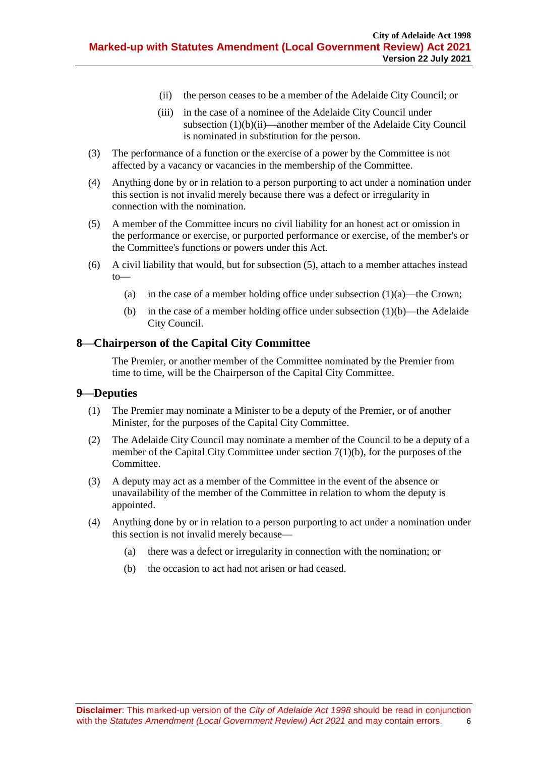- (ii) the person ceases to be a member of the Adelaide City Council; or
- (iii) in the case of a nominee of the Adelaide City Council under [subsection](#page-4-9) (1)(b)(ii)—another member of the Adelaide City Council is nominated in substitution for the person.
- (3) The performance of a function or the exercise of a power by the Committee is not affected by a vacancy or vacancies in the membership of the Committee.
- (4) Anything done by or in relation to a person purporting to act under a nomination under this section is not invalid merely because there was a defect or irregularity in connection with the nomination.
- <span id="page-5-2"></span>(5) A member of the Committee incurs no civil liability for an honest act or omission in the performance or exercise, or purported performance or exercise, of the member's or the Committee's functions or powers under this Act.
- (6) A civil liability that would, but for [subsection](#page-5-2) (5), attach to a member attaches instead to
	- (a) in the case of a member holding office unde[r subsection](#page-4-5)  $(1)(a)$ —the Crown;
	- (b) in the case of a member holding office unde[r subsection](#page-4-7)  $(1)(b)$ —the Adelaide City Council.

### <span id="page-5-0"></span>**8—Chairperson of the Capital City Committee**

The Premier, or another member of the Committee nominated by the Premier from time to time, will be the Chairperson of the Capital City Committee.

#### <span id="page-5-1"></span>**9—Deputies**

- (1) The Premier may nominate a Minister to be a deputy of the Premier, or of another Minister, for the purposes of the Capital City Committee.
- (2) The Adelaide City Council may nominate a member of the Council to be a deputy of a member of the Capital City Committee under [section](#page-4-7) 7(1)(b), for the purposes of the Committee.
- (3) A deputy may act as a member of the Committee in the event of the absence or unavailability of the member of the Committee in relation to whom the deputy is appointed.
- (4) Anything done by or in relation to a person purporting to act under a nomination under this section is not invalid merely because—
	- (a) there was a defect or irregularity in connection with the nomination; or
	- (b) the occasion to act had not arisen or had ceased.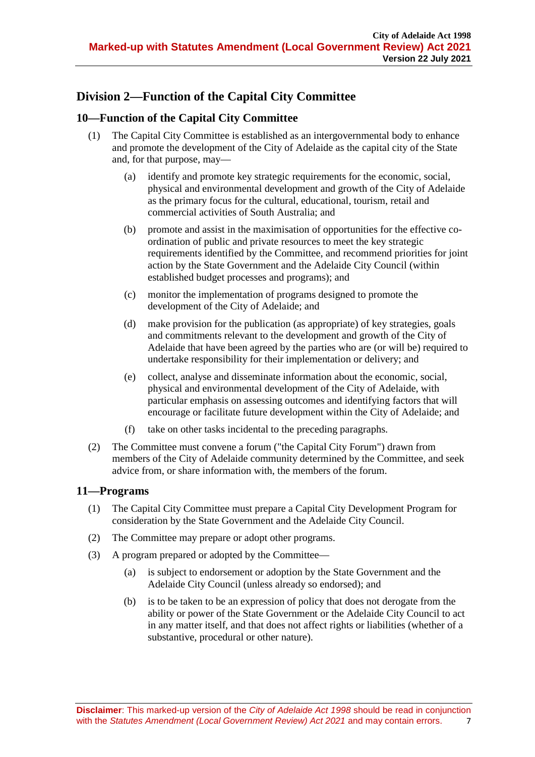# <span id="page-6-0"></span>**Division 2—Function of the Capital City Committee**

# <span id="page-6-1"></span>**10—Function of the Capital City Committee**

- (1) The Capital City Committee is established as an intergovernmental body to enhance and promote the development of the City of Adelaide as the capital city of the State and, for that purpose, may—
	- (a) identify and promote key strategic requirements for the economic, social, physical and environmental development and growth of the City of Adelaide as the primary focus for the cultural, educational, tourism, retail and commercial activities of South Australia; and
	- (b) promote and assist in the maximisation of opportunities for the effective coordination of public and private resources to meet the key strategic requirements identified by the Committee, and recommend priorities for joint action by the State Government and the Adelaide City Council (within established budget processes and programs); and
	- (c) monitor the implementation of programs designed to promote the development of the City of Adelaide; and
	- (d) make provision for the publication (as appropriate) of key strategies, goals and commitments relevant to the development and growth of the City of Adelaide that have been agreed by the parties who are (or will be) required to undertake responsibility for their implementation or delivery; and
	- (e) collect, analyse and disseminate information about the economic, social, physical and environmental development of the City of Adelaide, with particular emphasis on assessing outcomes and identifying factors that will encourage or facilitate future development within the City of Adelaide; and
	- (f) take on other tasks incidental to the preceding paragraphs.
- (2) The Committee must convene a forum ("the Capital City Forum") drawn from members of the City of Adelaide community determined by the Committee, and seek advice from, or share information with, the members of the forum.

# <span id="page-6-2"></span>**11—Programs**

- (1) The Capital City Committee must prepare a Capital City Development Program for consideration by the State Government and the Adelaide City Council.
- (2) The Committee may prepare or adopt other programs.
- <span id="page-6-3"></span>(3) A program prepared or adopted by the Committee—
	- (a) is subject to endorsement or adoption by the State Government and the Adelaide City Council (unless already so endorsed); and
	- (b) is to be taken to be an expression of policy that does not derogate from the ability or power of the State Government or the Adelaide City Council to act in any matter itself, and that does not affect rights or liabilities (whether of a substantive, procedural or other nature).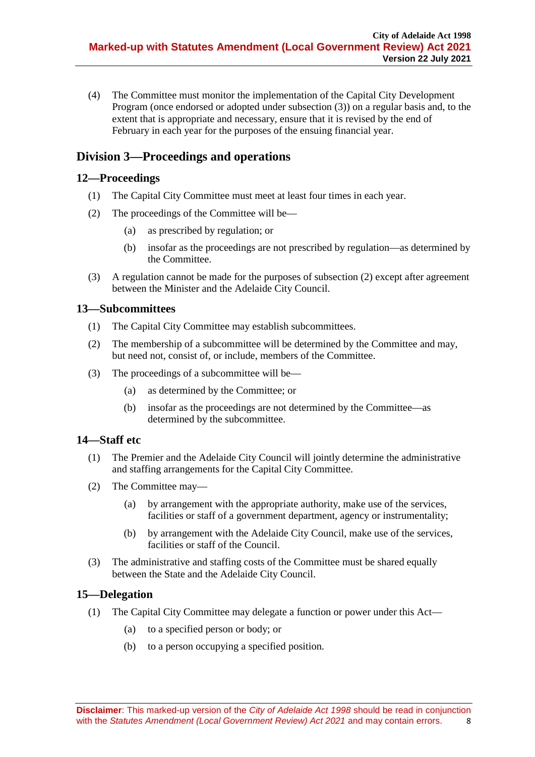(4) The Committee must monitor the implementation of the Capital City Development Program (once endorsed or adopted under [subsection](#page-6-3) (3)) on a regular basis and, to the extent that is appropriate and necessary, ensure that it is revised by the end of February in each year for the purposes of the ensuing financial year.

# <span id="page-7-0"></span>**Division 3—Proceedings and operations**

# <span id="page-7-1"></span>**12—Proceedings**

- (1) The Capital City Committee must meet at least four times in each year.
- <span id="page-7-5"></span>(2) The proceedings of the Committee will be—
	- (a) as prescribed by regulation; or
	- (b) insofar as the proceedings are not prescribed by regulation—as determined by the Committee.
- (3) A regulation cannot be made for the purposes of [subsection](#page-7-5) (2) except after agreement between the Minister and the Adelaide City Council.

# <span id="page-7-2"></span>**13—Subcommittees**

- (1) The Capital City Committee may establish subcommittees.
- (2) The membership of a subcommittee will be determined by the Committee and may, but need not, consist of, or include, members of the Committee.
- (3) The proceedings of a subcommittee will be—
	- (a) as determined by the Committee; or
	- (b) insofar as the proceedings are not determined by the Committee—as determined by the subcommittee.

# <span id="page-7-3"></span>**14—Staff etc**

- (1) The Premier and the Adelaide City Council will jointly determine the administrative and staffing arrangements for the Capital City Committee.
- (2) The Committee may—
	- (a) by arrangement with the appropriate authority, make use of the services, facilities or staff of a government department, agency or instrumentality;
	- (b) by arrangement with the Adelaide City Council, make use of the services, facilities or staff of the Council.
- (3) The administrative and staffing costs of the Committee must be shared equally between the State and the Adelaide City Council.

# <span id="page-7-4"></span>**15—Delegation**

- (1) The Capital City Committee may delegate a function or power under this Act—
	- (a) to a specified person or body; or
	- (b) to a person occupying a specified position.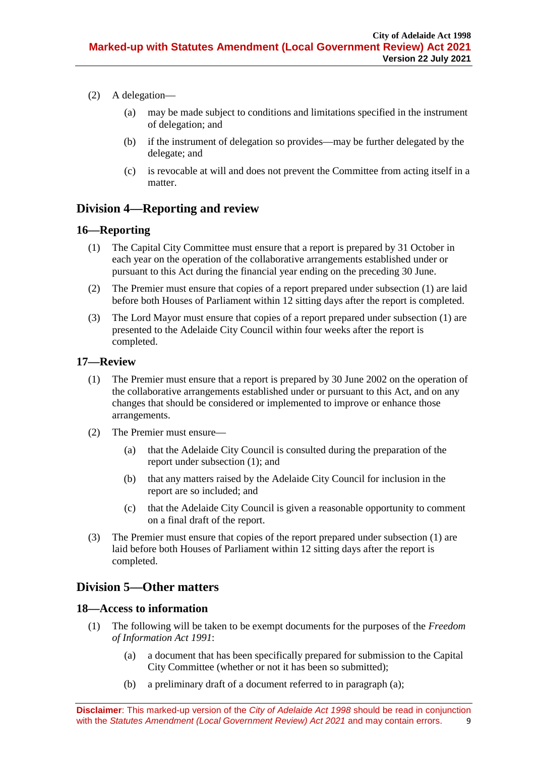- (2) A delegation—
	- (a) may be made subject to conditions and limitations specified in the instrument of delegation; and
	- (b) if the instrument of delegation so provides—may be further delegated by the delegate; and
	- (c) is revocable at will and does not prevent the Committee from acting itself in a matter.

# <span id="page-8-0"></span>**Division 4—Reporting and review**

# <span id="page-8-5"></span><span id="page-8-1"></span>**16—Reporting**

- (1) The Capital City Committee must ensure that a report is prepared by 31 October in each year on the operation of the collaborative arrangements established under or pursuant to this Act during the financial year ending on the preceding 30 June.
- (2) The Premier must ensure that copies of a report prepared under [subsection](#page-8-5) (1) are laid before both Houses of Parliament within 12 sitting days after the report is completed.
- (3) The Lord Mayor must ensure that copies of a report prepared under [subsection](#page-8-5) (1) are presented to the Adelaide City Council within four weeks after the report is completed.

### <span id="page-8-6"></span><span id="page-8-2"></span>**17—Review**

- (1) The Premier must ensure that a report is prepared by 30 June 2002 on the operation of the collaborative arrangements established under or pursuant to this Act, and on any changes that should be considered or implemented to improve or enhance those arrangements.
- (2) The Premier must ensure—
	- (a) that the Adelaide City Council is consulted during the preparation of the report under [subsection](#page-8-6) (1); and
	- (b) that any matters raised by the Adelaide City Council for inclusion in the report are so included; and
	- (c) that the Adelaide City Council is given a reasonable opportunity to comment on a final draft of the report.
- (3) The Premier must ensure that copies of the report prepared under [subsection](#page-8-6) (1) are laid before both Houses of Parliament within 12 sitting days after the report is completed.

# <span id="page-8-3"></span>**Division 5—Other matters**

#### <span id="page-8-9"></span><span id="page-8-4"></span>**18—Access to information**

- <span id="page-8-8"></span><span id="page-8-7"></span>(1) The following will be taken to be exempt documents for the purposes of the *[Freedom](http://www.legislation.sa.gov.au/index.aspx?action=legref&type=act&legtitle=Freedom%20of%20Information%20Act%201991)  [of Information Act](http://www.legislation.sa.gov.au/index.aspx?action=legref&type=act&legtitle=Freedom%20of%20Information%20Act%201991) 1991*:
	- (a) a document that has been specifically prepared for submission to the Capital City Committee (whether or not it has been so submitted);
	- (b) a preliminary draft of a document referred to in [paragraph](#page-8-7) (a);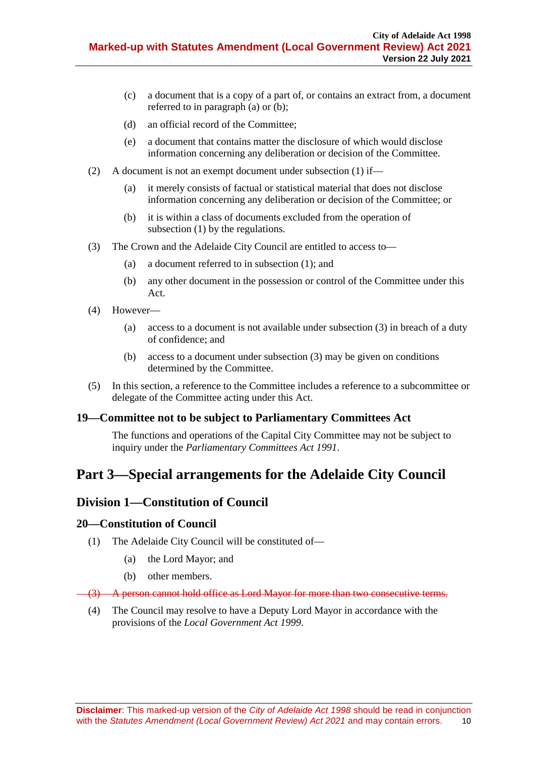- (c) a document that is a copy of a part of, or contains an extract from, a document referred to in [paragraph](#page-8-7) (a) or [\(b\);](#page-8-8)
- (d) an official record of the Committee;
- (e) a document that contains matter the disclosure of which would disclose information concerning any deliberation or decision of the Committee.
- (2) A document is not an exempt document under [subsection](#page-8-9) (1) if—
	- (a) it merely consists of factual or statistical material that does not disclose information concerning any deliberation or decision of the Committee; or
	- (b) it is within a class of documents excluded from the operation of [subsection](#page-8-9) (1) by the regulations.
- <span id="page-9-4"></span>(3) The Crown and the Adelaide City Council are entitled to access to—
	- (a) a document referred to in [subsection](#page-8-9) (1); and
	- (b) any other document in the possession or control of the Committee under this Act.
- (4) However—
	- (a) access to a document is not available under [subsection](#page-9-4) (3) in breach of a duty of confidence; and
	- (b) access to a document under [subsection](#page-9-4) (3) may be given on conditions determined by the Committee.
- (5) In this section, a reference to the Committee includes a reference to a subcommittee or delegate of the Committee acting under this Act.

# <span id="page-9-0"></span>**19—Committee not to be subject to Parliamentary Committees Act**

The functions and operations of the Capital City Committee may not be subject to inquiry under the *[Parliamentary Committees Act](http://www.legislation.sa.gov.au/index.aspx?action=legref&type=act&legtitle=Parliamentary%20Committees%20Act%201991) 1991*.

# <span id="page-9-1"></span>**Part 3—Special arrangements for the Adelaide City Council**

# <span id="page-9-2"></span>**Division 1—Constitution of Council**

#### <span id="page-9-3"></span>**20—Constitution of Council**

- (1) The Adelaide City Council will be constituted of—
	- (a) the Lord Mayor; and
	- (b) other members.

#### (3) A person cannot hold office as Lord Mayor for more than two consecutive terms.

(4) The Council may resolve to have a Deputy Lord Mayor in accordance with the provisions of the *[Local Government Act](http://www.legislation.sa.gov.au/index.aspx?action=legref&type=act&legtitle=Local%20Government%20Act%201999) 1999*.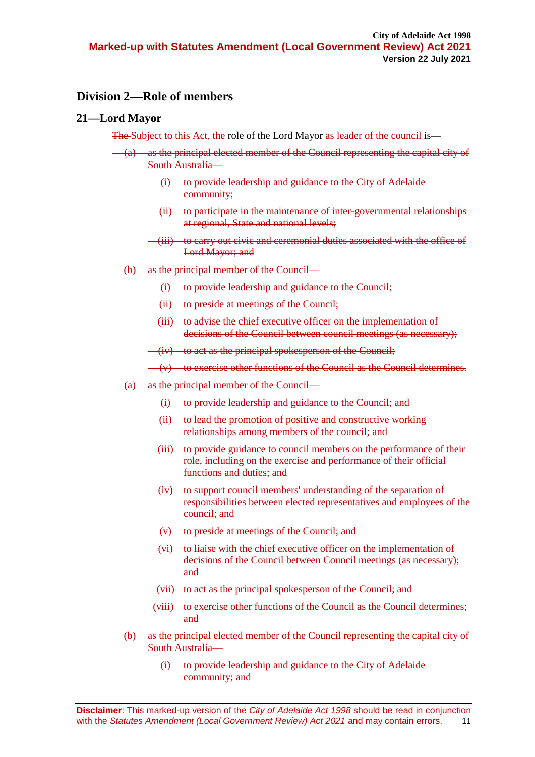# <span id="page-10-0"></span>**Division 2—Role of members**

### <span id="page-10-1"></span>**21—Lord Mayor**

The Subject to this Act, the role of the Lord Mayor as leader of the council is—

- $(a)$  as the principal elected member of the Council representing the capital city of South Australia—
	- (i) to provide leadership and guidance to the City of Adelaide community;
	- (ii) to participate in the maintenance of inter-governmental relationships at regional, State and national levels;
	- (iii) to carry out civic and ceremonial duties associated with the office of Lord Mayor; and
- (b) as the principal member of the Council—
	- (i) to provide leadership and guidance to the Council;
	- (ii) to preside at meetings of the Council;
	- (iii) to advise the chief executive officer on the implementation of decisions of the Council between council meetings (as necessary);

 $(iv)$  to act as the principal spokesperson of the Council;

 $(v)$  to exercise other functions of the Council as the Council determines.

- (a) as the principal member of the Council—
	- (i) to provide leadership and guidance to the Council; and
	- (ii) to lead the promotion of positive and constructive working relationships among members of the council; and
	- (iii) to provide guidance to council members on the performance of their role, including on the exercise and performance of their official functions and duties; and
	- (iv) to support council members' understanding of the separation of responsibilities between elected representatives and employees of the council; and
	- (v) to preside at meetings of the Council; and
	- (vi) to liaise with the chief executive officer on the implementation of decisions of the Council between Council meetings (as necessary); and
	- (vii) to act as the principal spokesperson of the Council; and
	- (viii) to exercise other functions of the Council as the Council determines; and
- (b) as the principal elected member of the Council representing the capital city of South Australia—
	- (i) to provide leadership and guidance to the City of Adelaide community; and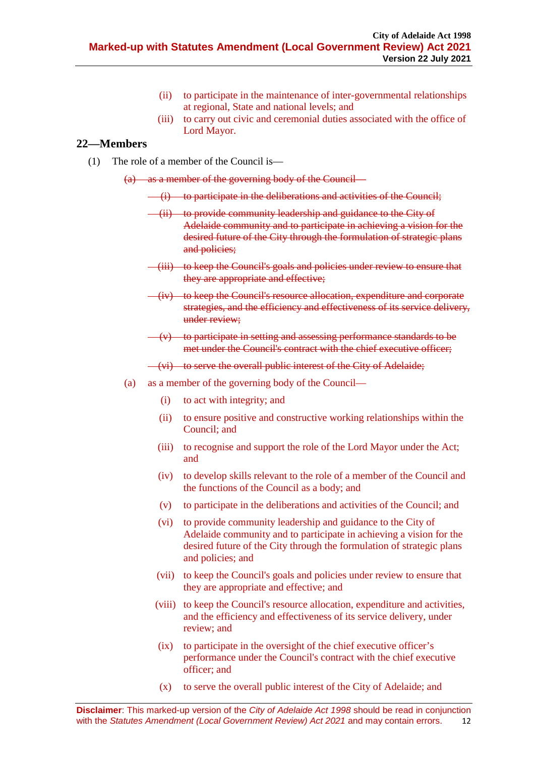- (ii) to participate in the maintenance of inter-governmental relationships at regional, State and national levels; and
- (iii) to carry out civic and ceremonial duties associated with the office of Lord Mayor.

### <span id="page-11-0"></span>**22—Members**

(1) The role of a member of the Council is—

 $(a)$  as a member of the governing body of the Council—

- (i) to participate in the deliberations and activities of the Council;
- (ii) to provide community leadership and guidance to the City of Adelaide community and to participate in achieving a vision for the desired future of the City through the formulation of strategic plans and policies;
- (iii) to keep the Council's goals and policies under review to ensure that they are appropriate and effective;
- (iv) to keep the Council's resource allocation, expenditure and corporate strategies, and the efficiency and effectiveness of its service delivery, under review;
- (v) to participate in setting and assessing performance standards to be met under the Council's contract with the chief executive officer;

(vi) to serve the overall public interest of the City of Adelaide;

- (a) as a member of the governing body of the Council—
	- (i) to act with integrity; and
	- (ii) to ensure positive and constructive working relationships within the Council; and
	- (iii) to recognise and support the role of the Lord Mayor under the Act; and
	- (iv) to develop skills relevant to the role of a member of the Council and the functions of the Council as a body; and
	- (v) to participate in the deliberations and activities of the Council; and
	- (vi) to provide community leadership and guidance to the City of Adelaide community and to participate in achieving a vision for the desired future of the City through the formulation of strategic plans and policies; and
	- (vii) to keep the Council's goals and policies under review to ensure that they are appropriate and effective; and
	- (viii) to keep the Council's resource allocation, expenditure and activities, and the efficiency and effectiveness of its service delivery, under review; and
	- (ix) to participate in the oversight of the chief executive officer's performance under the Council's contract with the chief executive officer; and
	- (x) to serve the overall public interest of the City of Adelaide; and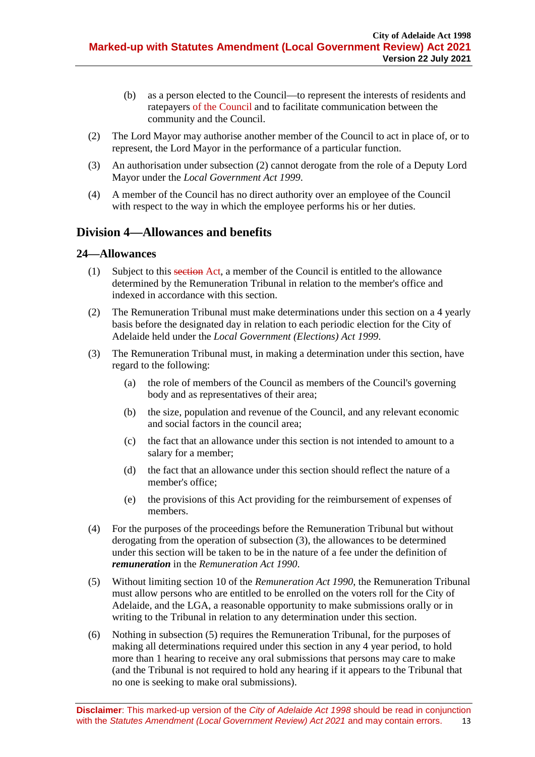- (b) as a person elected to the Council—to represent the interests of residents and ratepayers of the Council and to facilitate communication between the community and the Council.
- <span id="page-12-2"></span>(2) The Lord Mayor may authorise another member of the Council to act in place of, or to represent, the Lord Mayor in the performance of a particular function.
- (3) An authorisation unde[r subsection](#page-12-2) (2) cannot derogate from the role of a Deputy Lord Mayor under the *[Local Government Act](http://www.legislation.sa.gov.au/index.aspx?action=legref&type=act&legtitle=Local%20Government%20Act%201999) 1999*.
- (4) A member of the Council has no direct authority over an employee of the Council with respect to the way in which the employee performs his or her duties.

# <span id="page-12-0"></span>**Division 4—Allowances and benefits**

#### <span id="page-12-1"></span>**24—Allowances**

- (1) Subject to this section Act, a member of the Council is entitled to the allowance determined by the Remuneration Tribunal in relation to the member's office and indexed in accordance with this section.
- (2) The Remuneration Tribunal must make determinations under this section on a 4 yearly basis before the designated day in relation to each periodic election for the City of Adelaide held under the *[Local Government \(Elections\) Act](http://www.legislation.sa.gov.au/index.aspx?action=legref&type=act&legtitle=Local%20Government%20(Elections)%20Act%201999) 1999*.
- <span id="page-12-3"></span>(3) The Remuneration Tribunal must, in making a determination under this section, have regard to the following:
	- (a) the role of members of the Council as members of the Council's governing body and as representatives of their area;
	- (b) the size, population and revenue of the Council, and any relevant economic and social factors in the council area;
	- (c) the fact that an allowance under this section is not intended to amount to a salary for a member;
	- (d) the fact that an allowance under this section should reflect the nature of a member's office;
	- (e) the provisions of this Act providing for the reimbursement of expenses of members.
- (4) For the purposes of the proceedings before the Remuneration Tribunal but without derogating from the operation of [subsection](#page-12-3) (3), the allowances to be determined under this section will be taken to be in the nature of a fee under the definition of *remuneration* in the *[Remuneration Act](http://www.legislation.sa.gov.au/index.aspx?action=legref&type=act&legtitle=Remuneration%20Act%201990) 1990*.
- <span id="page-12-4"></span>(5) Without limiting section 10 of the *[Remuneration Act](http://www.legislation.sa.gov.au/index.aspx?action=legref&type=act&legtitle=Remuneration%20Act%201990) 1990*, the Remuneration Tribunal must allow persons who are entitled to be enrolled on the voters roll for the City of Adelaide, and the LGA, a reasonable opportunity to make submissions orally or in writing to the Tribunal in relation to any determination under this section.
- (6) Nothing in [subsection](#page-12-4) (5) requires the Remuneration Tribunal, for the purposes of making all determinations required under this section in any 4 year period, to hold more than 1 hearing to receive any oral submissions that persons may care to make (and the Tribunal is not required to hold any hearing if it appears to the Tribunal that no one is seeking to make oral submissions).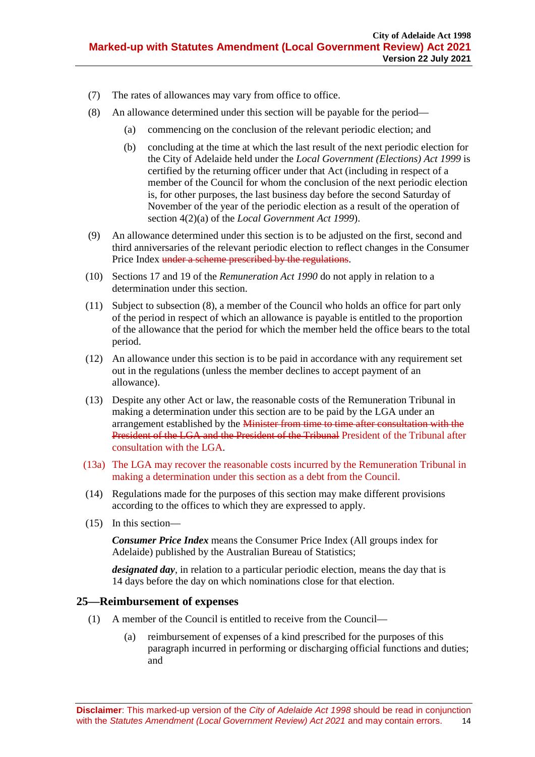- (7) The rates of allowances may vary from office to office.
- <span id="page-13-1"></span>(8) An allowance determined under this section will be payable for the period—
	- (a) commencing on the conclusion of the relevant periodic election; and
	- (b) concluding at the time at which the last result of the next periodic election for the City of Adelaide held under the *[Local Government \(Elections\)](http://www.legislation.sa.gov.au/index.aspx?action=legref&type=act&legtitle=Local%20Government%20(Elections)%20Act%201999) Act 1999* is certified by the returning officer under that Act (including in respect of a member of the Council for whom the conclusion of the next periodic election is, for other purposes, the last business day before the second Saturday of November of the year of the periodic election as a result of the operation of section 4(2)(a) of the *[Local Government Act](http://www.legislation.sa.gov.au/index.aspx?action=legref&type=act&legtitle=Local%20Government%20Act%201999) 1999*).
- (9) An allowance determined under this section is to be adjusted on the first, second and third anniversaries of the relevant periodic election to reflect changes in the Consumer Price Index under a scheme prescribed by the regulations.
- (10) Sections 17 and 19 of the *[Remuneration Act](http://www.legislation.sa.gov.au/index.aspx?action=legref&type=act&legtitle=Remuneration%20Act%201990) 1990* do not apply in relation to a determination under this section.
- (11) Subject to [subsection](#page-13-1) (8), a member of the Council who holds an office for part only of the period in respect of which an allowance is payable is entitled to the proportion of the allowance that the period for which the member held the office bears to the total period.
- (12) An allowance under this section is to be paid in accordance with any requirement set out in the regulations (unless the member declines to accept payment of an allowance).
- (13) Despite any other Act or law, the reasonable costs of the Remuneration Tribunal in making a determination under this section are to be paid by the LGA under an arrangement established by the Minister from time to time after consultation with the President of the LGA and the President of the Tribunal President of the Tribunal after consultation with the LGA.
- (13a) The LGA may recover the reasonable costs incurred by the Remuneration Tribunal in making a determination under this section as a debt from the Council.
- (14) Regulations made for the purposes of this section may make different provisions according to the offices to which they are expressed to apply.
- (15) In this section—

*Consumer Price Index* means the Consumer Price Index (All groups index for Adelaide) published by the Australian Bureau of Statistics;

*designated day*, in relation to a particular periodic election, means the day that is 14 days before the day on which nominations close for that election.

#### <span id="page-13-0"></span>**25—Reimbursement of expenses**

- (1) A member of the Council is entitled to receive from the Council—
	- (a) reimbursement of expenses of a kind prescribed for the purposes of this paragraph incurred in performing or discharging official functions and duties; and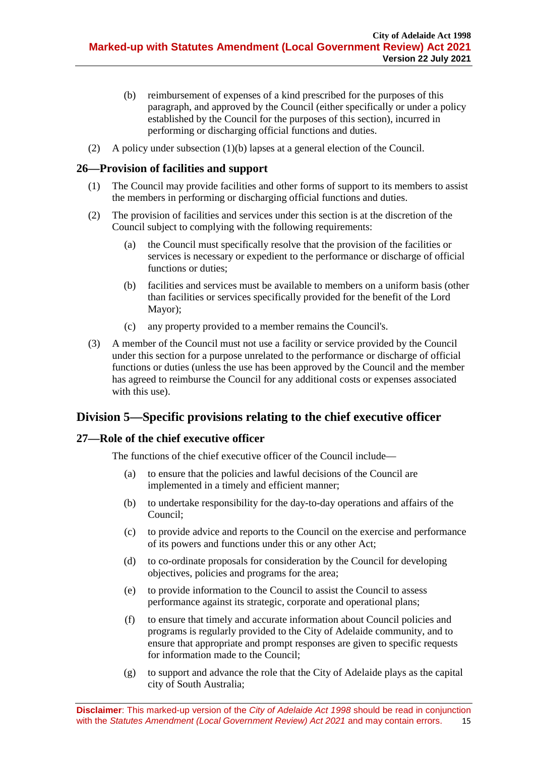- <span id="page-14-3"></span>(b) reimbursement of expenses of a kind prescribed for the purposes of this paragraph, and approved by the Council (either specifically or under a policy established by the Council for the purposes of this section), incurred in performing or discharging official functions and duties.
- (2) A policy under [subsection](#page-14-3) (1)(b) lapses at a general election of the Council.

# <span id="page-14-0"></span>**26—Provision of facilities and support**

- (1) The Council may provide facilities and other forms of support to its members to assist the members in performing or discharging official functions and duties.
- (2) The provision of facilities and services under this section is at the discretion of the Council subject to complying with the following requirements:
	- (a) the Council must specifically resolve that the provision of the facilities or services is necessary or expedient to the performance or discharge of official functions or duties;
	- (b) facilities and services must be available to members on a uniform basis (other than facilities or services specifically provided for the benefit of the Lord Mayor);
	- (c) any property provided to a member remains the Council's.
- (3) A member of the Council must not use a facility or service provided by the Council under this section for a purpose unrelated to the performance or discharge of official functions or duties (unless the use has been approved by the Council and the member has agreed to reimburse the Council for any additional costs or expenses associated with this use).

# <span id="page-14-1"></span>**Division 5—Specific provisions relating to the chief executive officer**

# <span id="page-14-2"></span>**27—Role of the chief executive officer**

The functions of the chief executive officer of the Council include—

- (a) to ensure that the policies and lawful decisions of the Council are implemented in a timely and efficient manner;
- (b) to undertake responsibility for the day-to-day operations and affairs of the Council;
- (c) to provide advice and reports to the Council on the exercise and performance of its powers and functions under this or any other Act;
- (d) to co-ordinate proposals for consideration by the Council for developing objectives, policies and programs for the area;
- (e) to provide information to the Council to assist the Council to assess performance against its strategic, corporate and operational plans;
- (f) to ensure that timely and accurate information about Council policies and programs is regularly provided to the City of Adelaide community, and to ensure that appropriate and prompt responses are given to specific requests for information made to the Council;
- (g) to support and advance the role that the City of Adelaide plays as the capital city of South Australia;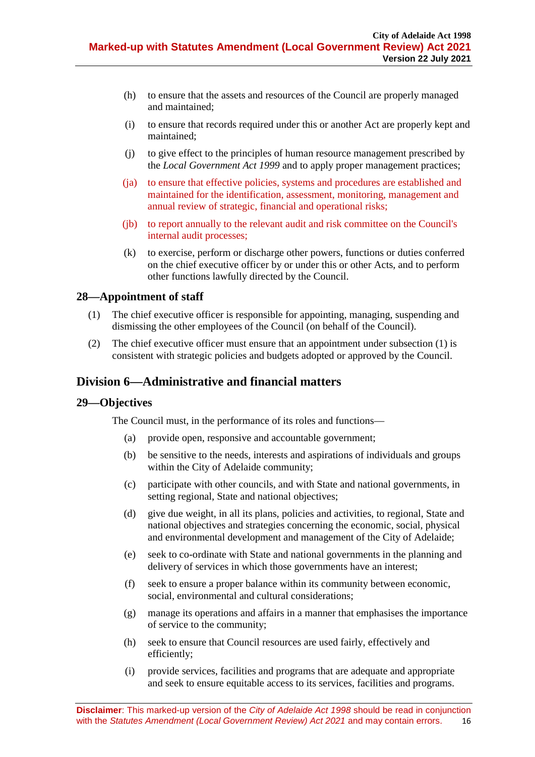- (h) to ensure that the assets and resources of the Council are properly managed and maintained;
- (i) to ensure that records required under this or another Act are properly kept and maintained;
- (j) to give effect to the principles of human resource management prescribed by the *[Local Government Act](http://www.legislation.sa.gov.au/index.aspx?action=legref&type=act&legtitle=Local%20Government%20Act%201999) 1999* and to apply proper management practices;
- (ja) to ensure that effective policies, systems and procedures are established and maintained for the identification, assessment, monitoring, management and annual review of strategic, financial and operational risks;
- (jb) to report annually to the relevant audit and risk committee on the Council's internal audit processes;
- (k) to exercise, perform or discharge other powers, functions or duties conferred on the chief executive officer by or under this or other Acts, and to perform other functions lawfully directed by the Council.

# <span id="page-15-3"></span><span id="page-15-0"></span>**28—Appointment of staff**

- (1) The chief executive officer is responsible for appointing, managing, suspending and dismissing the other employees of the Council (on behalf of the Council).
- (2) The chief executive officer must ensure that an appointment under [subsection](#page-15-3) (1) is consistent with strategic policies and budgets adopted or approved by the Council.

# <span id="page-15-1"></span>**Division 6—Administrative and financial matters**

### <span id="page-15-2"></span>**29—Objectives**

The Council must, in the performance of its roles and functions—

- (a) provide open, responsive and accountable government;
- (b) be sensitive to the needs, interests and aspirations of individuals and groups within the City of Adelaide community;
- (c) participate with other councils, and with State and national governments, in setting regional, State and national objectives;
- (d) give due weight, in all its plans, policies and activities, to regional, State and national objectives and strategies concerning the economic, social, physical and environmental development and management of the City of Adelaide;
- (e) seek to co-ordinate with State and national governments in the planning and delivery of services in which those governments have an interest;
- (f) seek to ensure a proper balance within its community between economic, social, environmental and cultural considerations;
- (g) manage its operations and affairs in a manner that emphasises the importance of service to the community;
- (h) seek to ensure that Council resources are used fairly, effectively and efficiently;
- (i) provide services, facilities and programs that are adequate and appropriate and seek to ensure equitable access to its services, facilities and programs.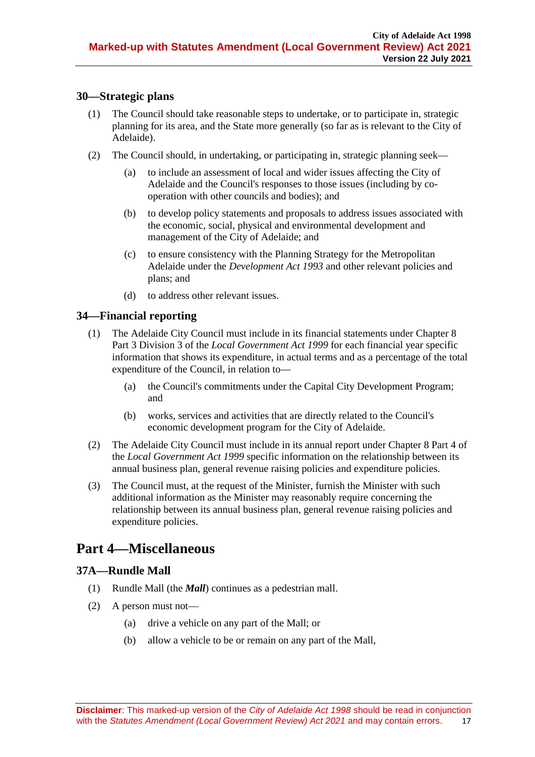# <span id="page-16-0"></span>**30—Strategic plans**

- (1) The Council should take reasonable steps to undertake, or to participate in, strategic planning for its area, and the State more generally (so far as is relevant to the City of Adelaide).
- (2) The Council should, in undertaking, or participating in, strategic planning seek—
	- (a) to include an assessment of local and wider issues affecting the City of Adelaide and the Council's responses to those issues (including by cooperation with other councils and bodies); and
	- (b) to develop policy statements and proposals to address issues associated with the economic, social, physical and environmental development and management of the City of Adelaide; and
	- (c) to ensure consistency with the Planning Strategy for the Metropolitan Adelaide under the *[Development Act](http://www.legislation.sa.gov.au/index.aspx?action=legref&type=act&legtitle=Development%20Act%201993) 1993* and other relevant policies and plans; and
	- (d) to address other relevant issues.

# <span id="page-16-1"></span>**34—Financial reporting**

- (1) The Adelaide City Council must include in its financial statements under Chapter 8 Part 3 Division 3 of the *[Local Government Act](http://www.legislation.sa.gov.au/index.aspx?action=legref&type=act&legtitle=Local%20Government%20Act%201999) 1999* for each financial year specific information that shows its expenditure, in actual terms and as a percentage of the total expenditure of the Council, in relation to—
	- (a) the Council's commitments under the Capital City Development Program; and
	- (b) works, services and activities that are directly related to the Council's economic development program for the City of Adelaide.
- (2) The Adelaide City Council must include in its annual report under Chapter 8 Part 4 of the *[Local Government Act](http://www.legislation.sa.gov.au/index.aspx?action=legref&type=act&legtitle=Local%20Government%20Act%201999) 1999* specific information on the relationship between its annual business plan, general revenue raising policies and expenditure policies.
- (3) The Council must, at the request of the Minister, furnish the Minister with such additional information as the Minister may reasonably require concerning the relationship between its annual business plan, general revenue raising policies and expenditure policies.

# <span id="page-16-2"></span>**Part 4—Miscellaneous**

# <span id="page-16-3"></span>**37A—Rundle Mall**

- (1) Rundle Mall (the *Mall*) continues as a pedestrian mall.
- (2) A person must not—
	- (a) drive a vehicle on any part of the Mall; or
	- (b) allow a vehicle to be or remain on any part of the Mall,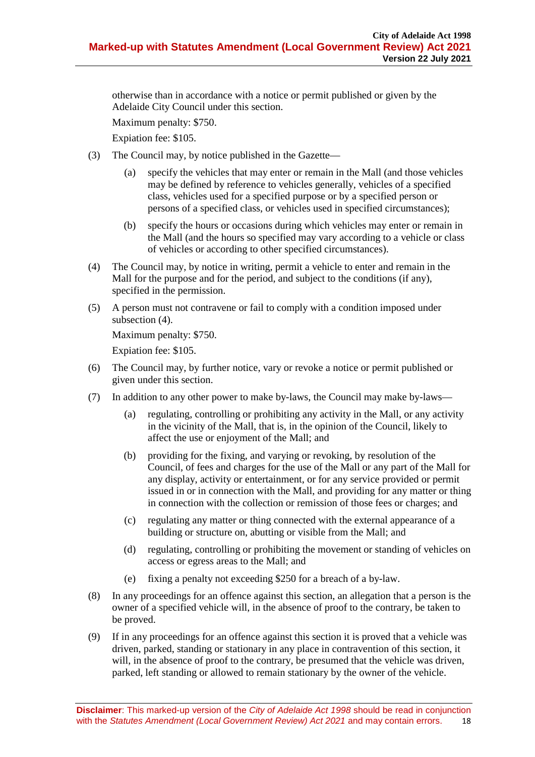otherwise than in accordance with a notice or permit published or given by the Adelaide City Council under this section.

Maximum penalty: \$750.

Expiation fee: \$105.

- (3) The Council may, by notice published in the Gazette—
	- (a) specify the vehicles that may enter or remain in the Mall (and those vehicles may be defined by reference to vehicles generally, vehicles of a specified class, vehicles used for a specified purpose or by a specified person or persons of a specified class, or vehicles used in specified circumstances);
	- (b) specify the hours or occasions during which vehicles may enter or remain in the Mall (and the hours so specified may vary according to a vehicle or class of vehicles or according to other specified circumstances).
- <span id="page-17-0"></span>(4) The Council may, by notice in writing, permit a vehicle to enter and remain in the Mall for the purpose and for the period, and subject to the conditions (if any), specified in the permission.
- (5) A person must not contravene or fail to comply with a condition imposed under [subsection](#page-17-0)  $(4)$ .

Maximum penalty: \$750.

Expiation fee: \$105.

- (6) The Council may, by further notice, vary or revoke a notice or permit published or given under this section.
- (7) In addition to any other power to make by-laws, the Council may make by-laws—
	- (a) regulating, controlling or prohibiting any activity in the Mall, or any activity in the vicinity of the Mall, that is, in the opinion of the Council, likely to affect the use or enjoyment of the Mall; and
	- (b) providing for the fixing, and varying or revoking, by resolution of the Council, of fees and charges for the use of the Mall or any part of the Mall for any display, activity or entertainment, or for any service provided or permit issued in or in connection with the Mall, and providing for any matter or thing in connection with the collection or remission of those fees or charges; and
	- (c) regulating any matter or thing connected with the external appearance of a building or structure on, abutting or visible from the Mall; and
	- (d) regulating, controlling or prohibiting the movement or standing of vehicles on access or egress areas to the Mall; and
	- (e) fixing a penalty not exceeding \$250 for a breach of a by-law.
- (8) In any proceedings for an offence against this section, an allegation that a person is the owner of a specified vehicle will, in the absence of proof to the contrary, be taken to be proved.
- (9) If in any proceedings for an offence against this section it is proved that a vehicle was driven, parked, standing or stationary in any place in contravention of this section, it will, in the absence of proof to the contrary, be presumed that the vehicle was driven, parked, left standing or allowed to remain stationary by the owner of the vehicle.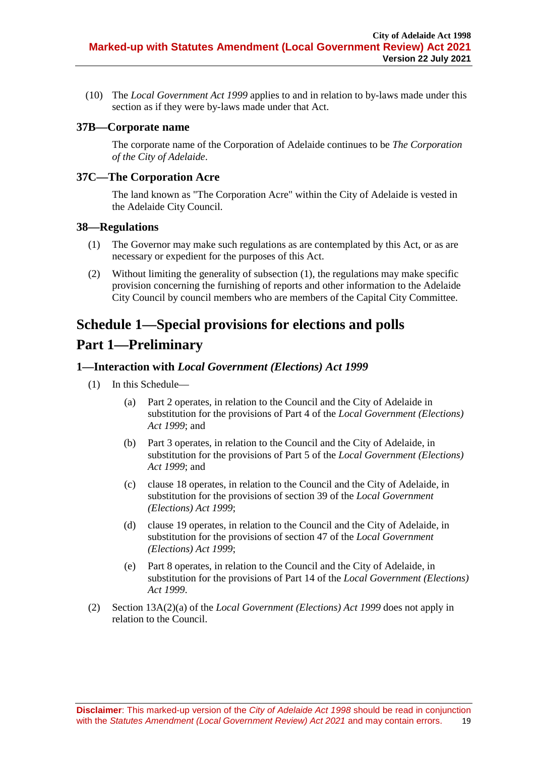(10) The *[Local Government Act](http://www.legislation.sa.gov.au/index.aspx?action=legref&type=act&legtitle=Local%20Government%20Act%201999) 1999* applies to and in relation to by-laws made under this section as if they were by-laws made under that Act.

### <span id="page-18-0"></span>**37B—Corporate name**

The corporate name of the Corporation of Adelaide continues to be *The Corporation of the City of Adelaide*.

### <span id="page-18-1"></span>**37C—The Corporation Acre**

The land known as "The Corporation Acre" within the City of Adelaide is vested in the Adelaide City Council.

#### <span id="page-18-5"></span><span id="page-18-2"></span>**38—Regulations**

- (1) The Governor may make such regulations as are contemplated by this Act, or as are necessary or expedient for the purposes of this Act.
- (2) Without limiting the generality of [subsection](#page-18-5) (1), the regulations may make specific provision concerning the furnishing of reports and other information to the Adelaide City Council by council members who are members of the Capital City Committee.

# <span id="page-18-3"></span>**Schedule 1—Special provisions for elections and polls**

# **Part 1—Preliminary**

#### <span id="page-18-4"></span>**1—Interaction with** *Local Government (Elections) Act 1999*

- (1) In this Schedule—
	- (a) Part 2 operates, in relation to the Council and the City of Adelaide in substitution for the provisions of Part 4 of the *[Local Government \(Elections\)](http://www.legislation.sa.gov.au/index.aspx?action=legref&type=act&legtitle=Local%20Government%20(Elections)%20Act%201999)  Act [1999](http://www.legislation.sa.gov.au/index.aspx?action=legref&type=act&legtitle=Local%20Government%20(Elections)%20Act%201999)*; and
	- (b) Part 3 operates, in relation to the Council and the City of Adelaide, in substitution for the provisions of Part 5 of the *[Local Government \(Elections\)](http://www.legislation.sa.gov.au/index.aspx?action=legref&type=act&legtitle=Local%20Government%20(Elections)%20Act%201999)  Act [1999](http://www.legislation.sa.gov.au/index.aspx?action=legref&type=act&legtitle=Local%20Government%20(Elections)%20Act%201999)*; and
	- (c) [clause](#page-27-0) 18 operates, in relation to the Council and the City of Adelaide, in substitution for the provisions of section 39 of the *[Local Government](http://www.legislation.sa.gov.au/index.aspx?action=legref&type=act&legtitle=Local%20Government%20(Elections)%20Act%201999)  [\(Elections\) Act](http://www.legislation.sa.gov.au/index.aspx?action=legref&type=act&legtitle=Local%20Government%20(Elections)%20Act%201999) 1999*;
	- (d) [clause](#page-29-0) 19 operates, in relation to the Council and the City of Adelaide, in substitution for the provisions of section 47 of the *[Local Government](http://www.legislation.sa.gov.au/index.aspx?action=legref&type=act&legtitle=Local%20Government%20(Elections)%20Act%201999)  [\(Elections\) Act](http://www.legislation.sa.gov.au/index.aspx?action=legref&type=act&legtitle=Local%20Government%20(Elections)%20Act%201999) 1999*;
	- (e) Part 8 operates, in relation to the Council and the City of Adelaide, in substitution for the provisions of Part 14 of the *[Local Government \(Elections\)](http://www.legislation.sa.gov.au/index.aspx?action=legref&type=act&legtitle=Local%20Government%20(Elections)%20Act%201999)  Act [1999](http://www.legislation.sa.gov.au/index.aspx?action=legref&type=act&legtitle=Local%20Government%20(Elections)%20Act%201999)*.
- (2) Section 13A(2)(a) of the *[Local Government \(Elections\) Act](http://www.legislation.sa.gov.au/index.aspx?action=legref&type=act&legtitle=Local%20Government%20(Elections)%20Act%201999) 1999* does not apply in relation to the Council.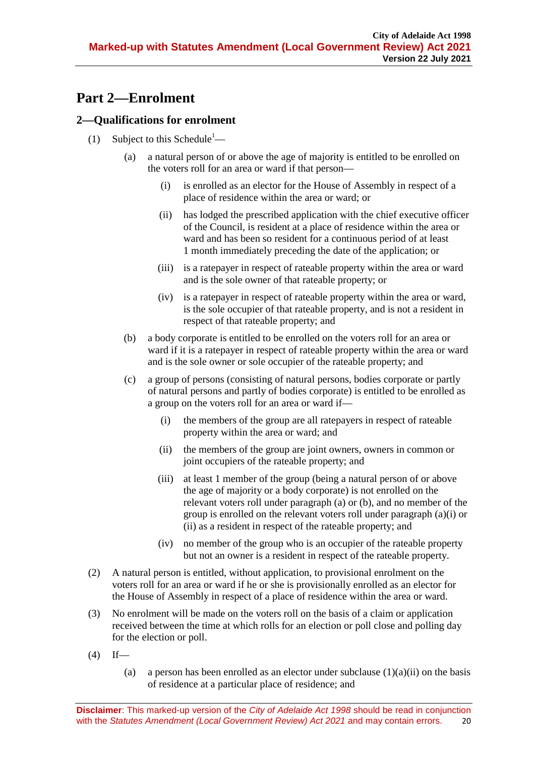# **Part 2—Enrolment**

# <span id="page-19-7"></span><span id="page-19-0"></span>**2—Qualifications for enrolment**

- <span id="page-19-5"></span><span id="page-19-4"></span><span id="page-19-3"></span><span id="page-19-2"></span><span id="page-19-1"></span>(1) Subject to this Schedule<sup>1</sup>—
	- (a) a natural person of or above the age of majority is entitled to be enrolled on the voters roll for an area or ward if that person—
		- (i) is enrolled as an elector for the House of Assembly in respect of a place of residence within the area or ward; or
		- (ii) has lodged the prescribed application with the chief executive officer of the Council, is resident at a place of residence within the area or ward and has been so resident for a continuous period of at least 1 month immediately preceding the date of the application; or
		- (iii) is a ratepayer in respect of rateable property within the area or ward and is the sole owner of that rateable property; or
		- (iv) is a ratepayer in respect of rateable property within the area or ward, is the sole occupier of that rateable property, and is not a resident in respect of that rateable property; and
	- (b) a body corporate is entitled to be enrolled on the voters roll for an area or ward if it is a ratepayer in respect of rateable property within the area or ward and is the sole owner or sole occupier of the rateable property; and
	- (c) a group of persons (consisting of natural persons, bodies corporate or partly of natural persons and partly of bodies corporate) is entitled to be enrolled as a group on the voters roll for an area or ward if—
		- (i) the members of the group are all ratepayers in respect of rateable property within the area or ward; and
		- (ii) the members of the group are joint owners, owners in common or joint occupiers of the rateable property; and
		- (iii) at least 1 member of the group (being a natural person of or above the age of majority or a body corporate) is not enrolled on the relevant voters roll under [paragraph](#page-19-1) (a) or [\(b\),](#page-19-2) and no member of the group is enrolled on the relevant voters roll under [paragraph](#page-19-3) (a)(i) or [\(ii\)](#page-19-4) as a resident in respect of the rateable property; and
		- (iv) no member of the group who is an occupier of the rateable property but not an owner is a resident in respect of the rateable property.
- <span id="page-19-6"></span>(2) A natural person is entitled, without application, to provisional enrolment on the voters roll for an area or ward if he or she is provisionally enrolled as an elector for the House of Assembly in respect of a place of residence within the area or ward.
- (3) No enrolment will be made on the voters roll on the basis of a claim or application received between the time at which rolls for an election or poll close and polling day for the election or poll.
- $(4)$  If
	- (a) a person has been enrolled as an elector under [subclause](#page-19-4)  $(1)(a)(ii)$  on the basis of residence at a particular place of residence; and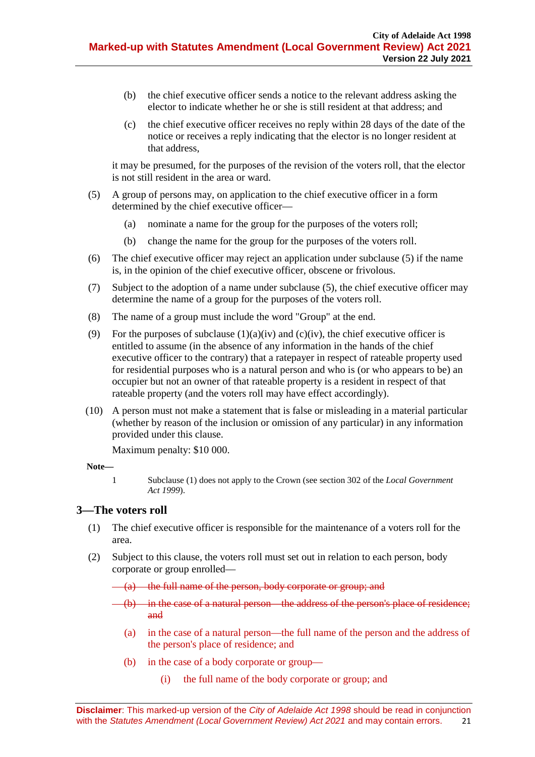- (b) the chief executive officer sends a notice to the relevant address asking the elector to indicate whether he or she is still resident at that address; and
- (c) the chief executive officer receives no reply within 28 days of the date of the notice or receives a reply indicating that the elector is no longer resident at that address,

it may be presumed, for the purposes of the revision of the voters roll, that the elector is not still resident in the area or ward.

- <span id="page-20-1"></span>(5) A group of persons may, on application to the chief executive officer in a form determined by the chief executive officer—
	- (a) nominate a name for the group for the purposes of the voters roll;
	- (b) change the name for the group for the purposes of the voters roll.
- (6) The chief executive officer may reject an application under [subclause](#page-20-1) (5) if the name is, in the opinion of the chief executive officer, obscene or frivolous.
- (7) Subject to the adoption of a name under [subclause](#page-20-1) (5), the chief executive officer may determine the name of a group for the purposes of the voters roll.
- (8) The name of a group must include the word "Group" at the end.
- (9) For the purposes of [subclause](#page-19-5)  $(1)(a)(iv)$  and  $(c)(iv)$ , the chief executive officer is entitled to assume (in the absence of any information in the hands of the chief executive officer to the contrary) that a ratepayer in respect of rateable property used for residential purposes who is a natural person and who is (or who appears to be) an occupier but not an owner of that rateable property is a resident in respect of that rateable property (and the voters roll may have effect accordingly).
- (10) A person must not make a statement that is false or misleading in a material particular (whether by reason of the inclusion or omission of any particular) in any information provided under this clause.

Maximum penalty: \$10 000.

#### **Note—**

1 [Subclause](#page-19-7) (1) does not apply to the Crown (see section 302 of the *[Local Government](http://www.legislation.sa.gov.au/index.aspx?action=legref&type=act&legtitle=Local%20Government%20Act%201999)  Act [1999](http://www.legislation.sa.gov.au/index.aspx?action=legref&type=act&legtitle=Local%20Government%20Act%201999)*).

#### <span id="page-20-0"></span>**3—The voters roll**

- (1) The chief executive officer is responsible for the maintenance of a voters roll for the area.
- (2) Subject to this clause, the voters roll must set out in relation to each person, body corporate or group enrolled—
	- (a) the full name of the person, body corporate or group; and
	- (b) in the case of a natural person—the address of the person's place of residence; and
		- (a) in the case of a natural person—the full name of the person and the address of the person's place of residence; and
		- (b) in the case of a body corporate or group—
			- (i) the full name of the body corporate or group; and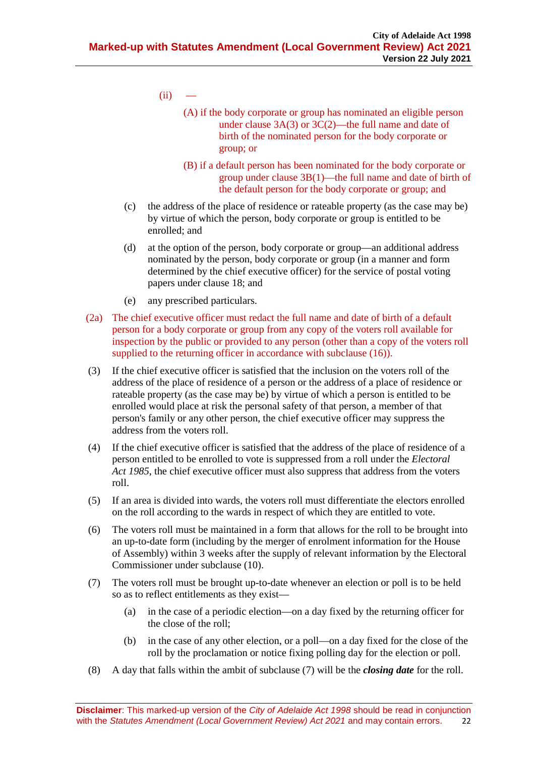- $(ii)$ 
	- (A) if the body corporate or group has nominated an eligible person under clause 3A(3) or 3C(2)—the full name and date of birth of the nominated person for the body corporate or group; or
	- (B) if a default person has been nominated for the body corporate or group under clause 3B(1)—the full name and date of birth of the default person for the body corporate or group; and
- (c) the address of the place of residence or rateable property (as the case may be) by virtue of which the person, body corporate or group is entitled to be enrolled; and
- (d) at the option of the person, body corporate or group—an additional address nominated by the person, body corporate or group (in a manner and form determined by the chief executive officer) for the service of postal voting papers under [clause](#page-27-0) 18; and
- (e) any prescribed particulars.
- (2a) The chief executive officer must redact the full name and date of birth of a default person for a body corporate or group from any copy of the voters roll available for inspection by the public or provided to any person (other than a copy of the voters roll supplied to the returning officer in accordance with subclause (16)).
- (3) If the chief executive officer is satisfied that the inclusion on the voters roll of the address of the place of residence of a person or the address of a place of residence or rateable property (as the case may be) by virtue of which a person is entitled to be enrolled would place at risk the personal safety of that person, a member of that person's family or any other person, the chief executive officer may suppress the address from the voters roll.
- (4) If the chief executive officer is satisfied that the address of the place of residence of a person entitled to be enrolled to vote is suppressed from a roll under the *[Electoral](http://www.legislation.sa.gov.au/index.aspx?action=legref&type=act&legtitle=Electoral%20Act%201985)  Act [1985](http://www.legislation.sa.gov.au/index.aspx?action=legref&type=act&legtitle=Electoral%20Act%201985)*, the chief executive officer must also suppress that address from the voters roll.
- (5) If an area is divided into wards, the voters roll must differentiate the electors enrolled on the roll according to the wards in respect of which they are entitled to vote.
- (6) The voters roll must be maintained in a form that allows for the roll to be brought into an up-to-date form (including by the merger of enrolment information for the House of Assembly) within 3 weeks after the supply of relevant information by the Electoral Commissioner under [subclause](#page-22-0) (10).
- <span id="page-21-1"></span><span id="page-21-0"></span>(7) The voters roll must be brought up-to-date whenever an election or poll is to be held so as to reflect entitlements as they exist—
	- (a) in the case of a periodic election—on a day fixed by the returning officer for the close of the roll;
	- (b) in the case of any other election, or a poll—on a day fixed for the close of the roll by the proclamation or notice fixing polling day for the election or poll.
- <span id="page-21-2"></span>(8) A day that falls within the ambit of [subclause](#page-21-0) (7) will be the *closing date* for the roll.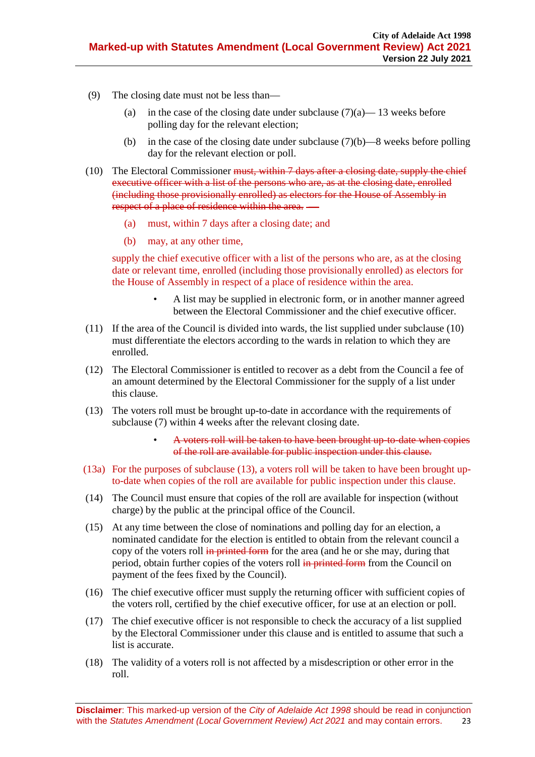- (9) The closing date must not be less than
	- (a) in the case of the closing date under [subclause](#page-21-1)  $(7)(a)$  13 weeks before polling day for the relevant election;
	- (b) in the case of the closing date under [subclause](#page-21-2)  $(7)(b)$ —8 weeks before polling day for the relevant election or poll.
- <span id="page-22-0"></span>(10) The Electoral Commissioner <del>must, within 7 days after a closing date, supply the chief</del> executive officer with a list of the persons who are, as at the closing date, enrolled (including those provisionally enrolled) as electors for the House of Assembly in respect of a place of residence within the area. —
	- (a) must, within 7 days after a closing date; and
	- (b) may, at any other time,

supply the chief executive officer with a list of the persons who are, as at the closing date or relevant time, enrolled (including those provisionally enrolled) as electors for the House of Assembly in respect of a place of residence within the area.

- A list may be supplied in electronic form, or in another manner agreed between the Electoral Commissioner and the chief executive officer.
- (11) If the area of the Council is divided into wards, the list supplied under [subclause](#page-22-0) (10) must differentiate the electors according to the wards in relation to which they are enrolled.
- (12) The Electoral Commissioner is entitled to recover as a debt from the Council a fee of an amount determined by the Electoral Commissioner for the supply of a list under this clause.
- (13) The voters roll must be brought up-to-date in accordance with the requirements of [subclause](#page-21-0) (7) within 4 weeks after the relevant closing date.
	- A voters roll will be taken to have been brought up-to-date when copies of the roll are available for public inspection under this clause.
- (13a) For the purposes of subclause (13), a voters roll will be taken to have been brought upto-date when copies of the roll are available for public inspection under this clause.
- (14) The Council must ensure that copies of the roll are available for inspection (without charge) by the public at the principal office of the Council.
- (15) At any time between the close of nominations and polling day for an election, a nominated candidate for the election is entitled to obtain from the relevant council a copy of the voters roll in printed form for the area (and he or she may, during that period, obtain further copies of the voters roll in printed form from the Council on payment of the fees fixed by the Council).
- (16) The chief executive officer must supply the returning officer with sufficient copies of the voters roll, certified by the chief executive officer, for use at an election or poll.
- (17) The chief executive officer is not responsible to check the accuracy of a list supplied by the Electoral Commissioner under this clause and is entitled to assume that such a list is accurate.
- (18) The validity of a voters roll is not affected by a misdescription or other error in the roll.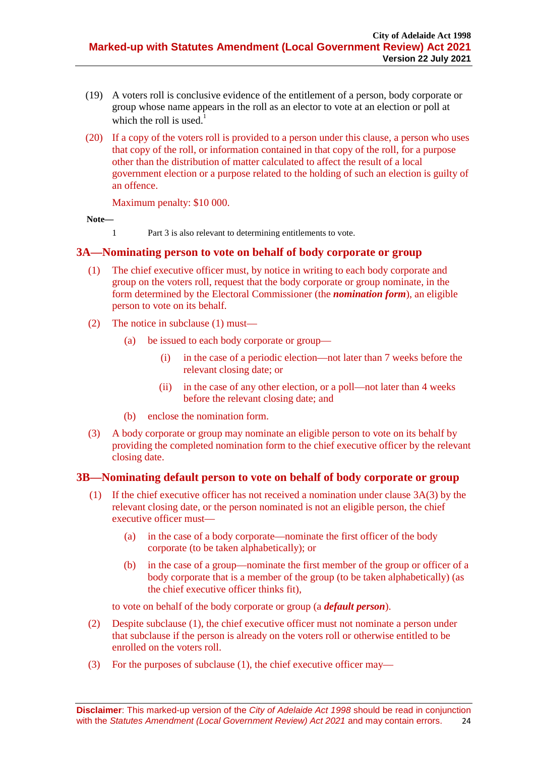- (19) A voters roll is conclusive evidence of the entitlement of a person, body corporate or group whose name appears in the roll as an elector to vote at an election or poll at which the roll is used.<sup>1</sup>
- (20) If a copy of the voters roll is provided to a person under this clause, a person who uses that copy of the roll, or information contained in that copy of the roll, for a purpose other than the distribution of matter calculated to affect the result of a local government election or a purpose related to the holding of such an election is guilty of an offence.

Maximum penalty: \$10 000.

**Note—**

1 Part 3 is also relevant to determining entitlements to vote.

### <span id="page-23-0"></span>**3A—Nominating person to vote on behalf of body corporate or group**

- (1) The chief executive officer must, by notice in writing to each body corporate and group on the voters roll, request that the body corporate or group nominate, in the form determined by the Electoral Commissioner (the *nomination form*), an eligible person to vote on its behalf.
- (2) The notice in subclause (1) must—
	- (a) be issued to each body corporate or group—
		- (i) in the case of a periodic election—not later than 7 weeks before the relevant closing date; or
		- (ii) in the case of any other election, or a poll—not later than 4 weeks before the relevant closing date; and
	- (b) enclose the nomination form.
- (3) A body corporate or group may nominate an eligible person to vote on its behalf by providing the completed nomination form to the chief executive officer by the relevant closing date.

#### <span id="page-23-1"></span>**3B—Nominating default person to vote on behalf of body corporate or group**

- (1) If the chief executive officer has not received a nomination under clause 3A(3) by the relevant closing date, or the person nominated is not an eligible person, the chief executive officer must—
	- (a) in the case of a body corporate—nominate the first officer of the body corporate (to be taken alphabetically); or
	- (b) in the case of a group—nominate the first member of the group or officer of a body corporate that is a member of the group (to be taken alphabetically) (as the chief executive officer thinks fit),

to vote on behalf of the body corporate or group (a *default person*).

- (2) Despite subclause (1), the chief executive officer must not nominate a person under that subclause if the person is already on the voters roll or otherwise entitled to be enrolled on the voters roll.
- (3) For the purposes of subclause (1), the chief executive officer may—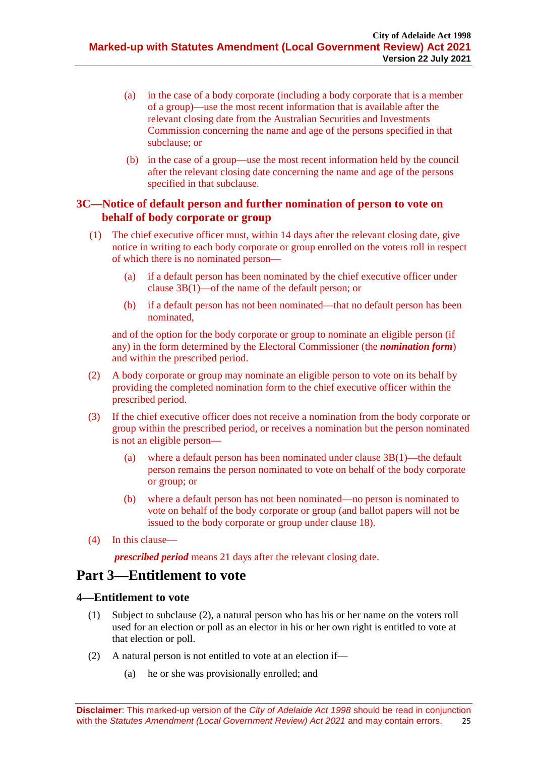- (a) in the case of a body corporate (including a body corporate that is a member of a group)—use the most recent information that is available after the relevant closing date from the Australian Securities and Investments Commission concerning the name and age of the persons specified in that subclause; or
- (b) in the case of a group—use the most recent information held by the council after the relevant closing date concerning the name and age of the persons specified in that subclause.

# <span id="page-24-0"></span>**3C—Notice of default person and further nomination of person to vote on behalf of body corporate or group**

- (1) The chief executive officer must, within 14 days after the relevant closing date, give notice in writing to each body corporate or group enrolled on the voters roll in respect of which there is no nominated person—
	- (a) if a default person has been nominated by the chief executive officer under clause 3B(1)—of the name of the default person; or
	- (b) if a default person has not been nominated—that no default person has been nominated,

and of the option for the body corporate or group to nominate an eligible person (if any) in the form determined by the Electoral Commissioner (the *nomination form*) and within the prescribed period.

- (2) A body corporate or group may nominate an eligible person to vote on its behalf by providing the completed nomination form to the chief executive officer within the prescribed period.
- (3) If the chief executive officer does not receive a nomination from the body corporate or group within the prescribed period, or receives a nomination but the person nominated is not an eligible person—
	- (a) where a default person has been nominated under clause 3B(1)—the default person remains the person nominated to vote on behalf of the body corporate or group; or
	- (b) where a default person has not been nominated—no person is nominated to vote on behalf of the body corporate or group (and ballot papers will not be issued to the body corporate or group under clause 18).
- (4) In this clause—

*prescribed period* means 21 days after the relevant closing date.

# **Part 3—Entitlement to vote**

# <span id="page-24-1"></span>**4—Entitlement to vote**

- (1) Subject to [subclause](#page-24-2) (2), a natural person who has his or her name on the voters roll used for an election or poll as an elector in his or her own right is entitled to vote at that election or poll.
- <span id="page-24-2"></span>(2) A natural person is not entitled to vote at an election if—
	- (a) he or she was provisionally enrolled; and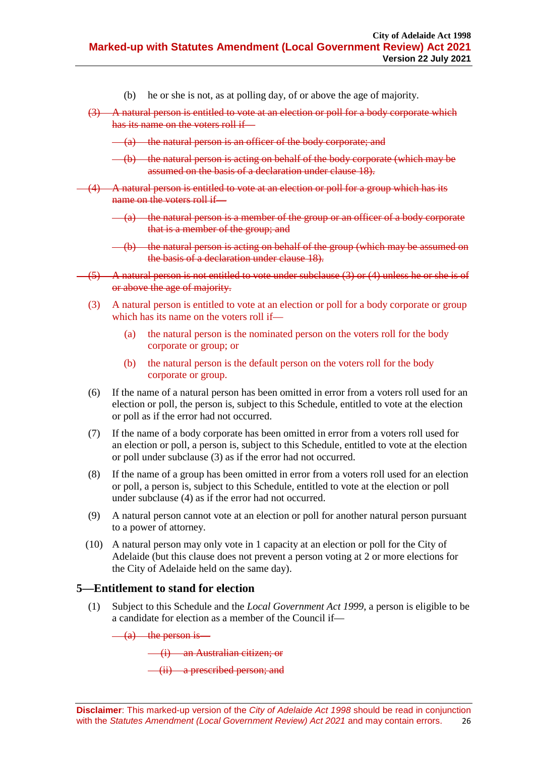- (b) he or she is not, as at polling day, of or above the age of majority.
- <span id="page-25-1"></span>(3) A natural person is entitled to vote at an election or poll for a body corporate which has its name on the voters roll if —
	- (a) the natural person is an officer of the body corporate; and
	- (b) the natural person is acting on behalf of the body corporate (which may be assumed on the basis of a declaration under [clause](#page-27-0) 18).
- <span id="page-25-2"></span>(4) A natural person is entitled to vote at an election or poll for a group which has its name on the voters roll if—
	- (a) the natural person is a member of the group or an officer of a body corporate that is a member of the group; and
	- (b) the natural person is acting on behalf of the group (which may be assumed on the basis of a declaration unde[r clause](#page-27-0) 18).
- (5) A natural person is not entitled to vote under [subclause](#page-25-1) (3) or [\(4\)](#page-25-2) unless he or she is of or above the age of majority.
	- (3) A natural person is entitled to vote at an election or poll for a body corporate or group which has its name on the voters roll if—
		- (a) the natural person is the nominated person on the voters roll for the body corporate or group; or
		- (b) the natural person is the default person on the voters roll for the body corporate or group.
	- (6) If the name of a natural person has been omitted in error from a voters roll used for an election or poll, the person is, subject to this Schedule, entitled to vote at the election or poll as if the error had not occurred.
	- (7) If the name of a body corporate has been omitted in error from a voters roll used for an election or poll, a person is, subject to this Schedule, entitled to vote at the election or poll under [subclause](#page-25-1) (3) as if the error had not occurred.
	- (8) If the name of a group has been omitted in error from a voters roll used for an election or poll, a person is, subject to this Schedule, entitled to vote at the election or poll under [subclause](#page-25-2) (4) as if the error had not occurred.
	- (9) A natural person cannot vote at an election or poll for another natural person pursuant to a power of attorney.
	- (10) A natural person may only vote in 1 capacity at an election or poll for the City of Adelaide (but this clause does not prevent a person voting at 2 or more elections for the City of Adelaide held on the same day).

# <span id="page-25-0"></span>**5—Entitlement to stand for election**

(1) Subject to this Schedule and the *[Local Government Act](http://www.legislation.sa.gov.au/index.aspx?action=legref&type=act&legtitle=Local%20Government%20Act%201999) 1999*, a person is eligible to be a candidate for election as a member of the Council if—

 $\frac{a}{b}$  the person is—

(i) an Australian citizen; or

(ii) a prescribed person; and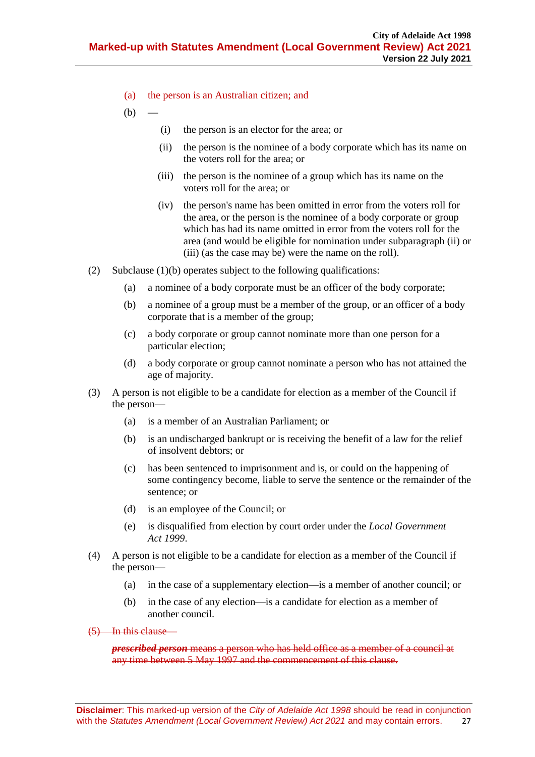- (a) the person is an Australian citizen; and
- <span id="page-26-2"></span><span id="page-26-1"></span><span id="page-26-0"></span> $(b)$
- (i) the person is an elector for the area; or
- (ii) the person is the nominee of a body corporate which has its name on the voters roll for the area; or
- (iii) the person is the nominee of a group which has its name on the voters roll for the area; or
- (iv) the person's name has been omitted in error from the voters roll for the area, or the person is the nominee of a body corporate or group which has had its name omitted in error from the voters roll for the area (and would be eligible for nomination under [subparagraph](#page-26-0) (ii) or [\(iii\)](#page-26-1) (as the case may be) were the name on the roll).
- (2) [Subclause](#page-26-2) (1)(b) operates subject to the following qualifications:
	- (a) a nominee of a body corporate must be an officer of the body corporate;
	- (b) a nominee of a group must be a member of the group, or an officer of a body corporate that is a member of the group;
	- (c) a body corporate or group cannot nominate more than one person for a particular election;
	- (d) a body corporate or group cannot nominate a person who has not attained the age of majority.
- (3) A person is not eligible to be a candidate for election as a member of the Council if the person—
	- (a) is a member of an Australian Parliament; or
	- (b) is an undischarged bankrupt or is receiving the benefit of a law for the relief of insolvent debtors; or
	- (c) has been sentenced to imprisonment and is, or could on the happening of some contingency become, liable to serve the sentence or the remainder of the sentence; or
	- (d) is an employee of the Council; or
	- (e) is disqualified from election by court order under the *[Local Government](http://www.legislation.sa.gov.au/index.aspx?action=legref&type=act&legtitle=Local%20Government%20Act%201999)  Act [1999](http://www.legislation.sa.gov.au/index.aspx?action=legref&type=act&legtitle=Local%20Government%20Act%201999)*.
- (4) A person is not eligible to be a candidate for election as a member of the Council if the person—
	- (a) in the case of a supplementary election—is a member of another council; or
	- (b) in the case of any election—is a candidate for election as a member of another council.
- (5) In this clause—

*prescribed person* means a person who has held office as a member of a council at any time between 5 May 1997 and the commencement of this clause.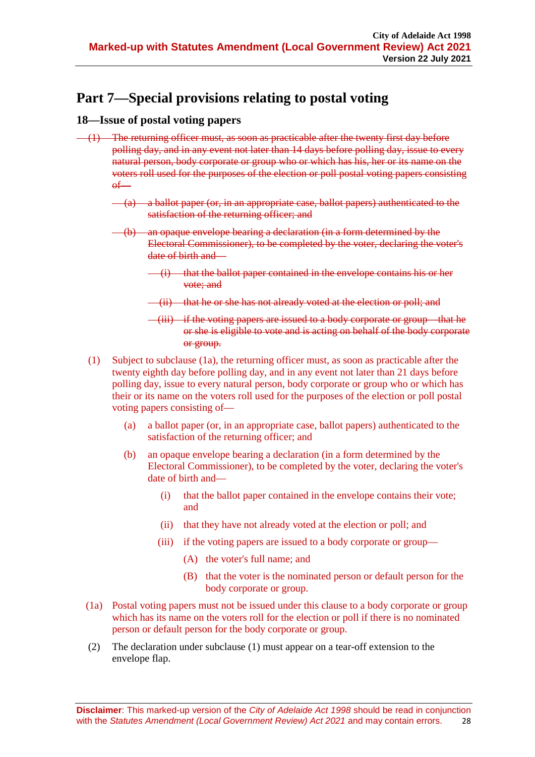# **Part 7—Special provisions relating to postal voting**

# <span id="page-27-0"></span>**18—Issue of postal voting papers**

- <span id="page-27-1"></span>(1) The returning officer must, as soon as practicable after the twenty first day before polling day, and in any event not later than 14 days before polling day, issue to every natural person, body corporate or group who or which has his, her or its name on the voters roll used for the purposes of the election or poll postal voting papers consisting  $\theta$ 
	- (a) a ballot paper (or, in an appropriate case, ballot papers) authenticated to the satisfaction of the returning officer; and
	- (b) an opaque envelope bearing a declaration (in a form determined by the Electoral Commissioner), to be completed by the voter, declaring the voter's date of birth and—
		- (i) that the ballot paper contained in the envelope contains his or her vote; and
		- (ii) that he or she has not already voted at the election or poll; and
		- (iii) if the voting papers are issued to a body corporate or group—that he or she is eligible to vote and is acting on behalf of the body corporate or group.
	- (1) Subject to subclause (1a), the returning officer must, as soon as practicable after the twenty eighth day before polling day, and in any event not later than 21 days before polling day, issue to every natural person, body corporate or group who or which has their or its name on the voters roll used for the purposes of the election or poll postal voting papers consisting of—
		- (a) a ballot paper (or, in an appropriate case, ballot papers) authenticated to the satisfaction of the returning officer; and
		- (b) an opaque envelope bearing a declaration (in a form determined by the Electoral Commissioner), to be completed by the voter, declaring the voter's date of birth and—
			- (i) that the ballot paper contained in the envelope contains their vote; and
			- (ii) that they have not already voted at the election or poll; and
			- (iii) if the voting papers are issued to a body corporate or group—
				- (A) the voter's full name; and
				- (B) that the voter is the nominated person or default person for the body corporate or group.
	- (1a) Postal voting papers must not be issued under this clause to a body corporate or group which has its name on the voters roll for the election or poll if there is no nominated person or default person for the body corporate or group.
	- (2) The declaration under [subclause](#page-27-1) (1) must appear on a tear-off extension to the envelope flap.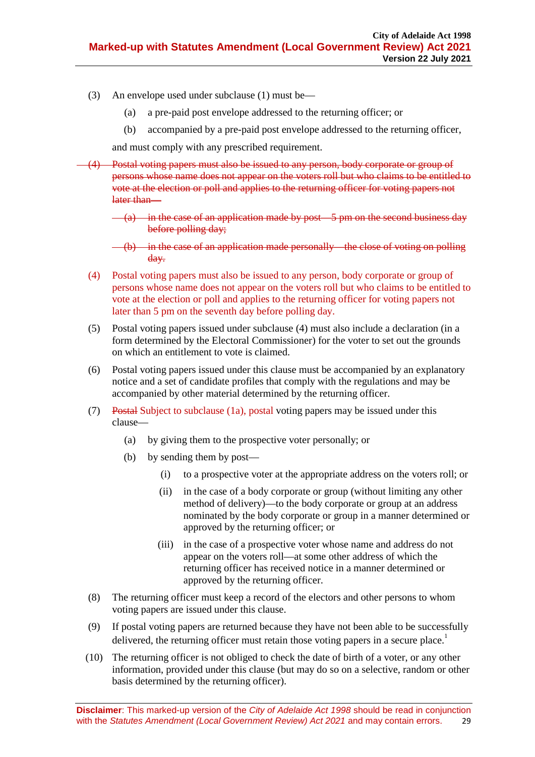- (3) An envelope used under [subclause](#page-27-1) (1) must be—
	- (a) a pre-paid post envelope addressed to the returning officer; or
	- (b) accompanied by a pre-paid post envelope addressed to the returning officer,

and must comply with any prescribed requirement.

- <span id="page-28-0"></span>Postal voting papers must also be issued to any person, body corporate or group of persons whose name does not appear on the voters roll but who claims to be entitled to vote at the election or poll and applies to the returning officer for voting papers not later than—
	- $(a)$  in the case of an application made by post—5 pm on the second business day before polling day;
	- $(-6)$  in the case of an application made personally—the close of voting on polling day.
	- (4) Postal voting papers must also be issued to any person, body corporate or group of persons whose name does not appear on the voters roll but who claims to be entitled to vote at the election or poll and applies to the returning officer for voting papers not later than 5 pm on the seventh day before polling day.
	- (5) Postal voting papers issued under [subclause](#page-28-0) (4) must also include a declaration (in a form determined by the Electoral Commissioner) for the voter to set out the grounds on which an entitlement to vote is claimed.
	- (6) Postal voting papers issued under this clause must be accompanied by an explanatory notice and a set of candidate profiles that comply with the regulations and may be accompanied by other material determined by the returning officer.
	- (7) Postal Subject to subclause (1a), postal voting papers may be issued under this clause—
		- (a) by giving them to the prospective voter personally; or
		- (b) by sending them by post—
			- (i) to a prospective voter at the appropriate address on the voters roll; or
			- (ii) in the case of a body corporate or group (without limiting any other method of delivery)—to the body corporate or group at an address nominated by the body corporate or group in a manner determined or approved by the returning officer; or
			- (iii) in the case of a prospective voter whose name and address do not appear on the voters roll—at some other address of which the returning officer has received notice in a manner determined or approved by the returning officer.
	- (8) The returning officer must keep a record of the electors and other persons to whom voting papers are issued under this clause.
	- (9) If postal voting papers are returned because they have not been able to be successfully delivered, the returning officer must retain those voting papers in a secure place.<sup>1</sup>
	- (10) The returning officer is not obliged to check the date of birth of a voter, or any other information, provided under this clause (but may do so on a selective, random or other basis determined by the returning officer).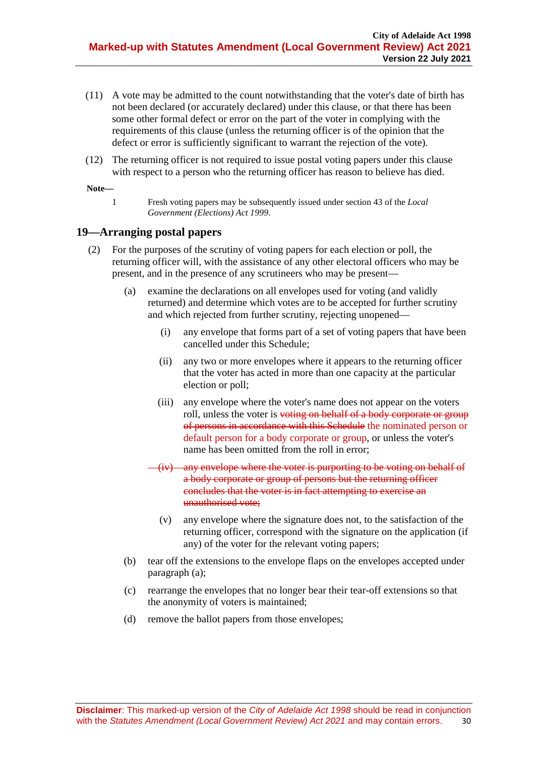- (11) A vote may be admitted to the count notwithstanding that the voter's date of birth has not been declared (or accurately declared) under this clause, or that there has been some other formal defect or error on the part of the voter in complying with the requirements of this clause (unless the returning officer is of the opinion that the defect or error is sufficiently significant to warrant the rejection of the vote).
- (12) The returning officer is not required to issue postal voting papers under this clause with respect to a person who the returning officer has reason to believe has died.

**Note—**

1 Fresh voting papers may be subsequently issued under section 43 of the *[Local](http://www.legislation.sa.gov.au/index.aspx?action=legref&type=act&legtitle=Local%20Government%20(Elections)%20Act%201999)  [Government \(Elections\) Act](http://www.legislation.sa.gov.au/index.aspx?action=legref&type=act&legtitle=Local%20Government%20(Elections)%20Act%201999) 1999*.

### <span id="page-29-0"></span>**19—Arranging postal papers**

- <span id="page-29-1"></span>(2) For the purposes of the scrutiny of voting papers for each election or poll, the returning officer will, with the assistance of any other electoral officers who may be present, and in the presence of any scrutineers who may be present—
	- (a) examine the declarations on all envelopes used for voting (and validly returned) and determine which votes are to be accepted for further scrutiny and which rejected from further scrutiny, rejecting unopened—
		- (i) any envelope that forms part of a set of voting papers that have been cancelled under this Schedule;
		- (ii) any two or more envelopes where it appears to the returning officer that the voter has acted in more than one capacity at the particular election or poll;
		- (iii) any envelope where the voter's name does not appear on the voters roll, unless the voter is voting on behalf of a body corporate or group of persons in accordance with this Schedule the nominated person or default person for a body corporate or group, or unless the voter's name has been omitted from the roll in error;
		- (iv) any envelope where the voter is purporting to be voting on behalf of a body corporate or group of persons but the returning officer concludes that the voter is in fact attempting to exercise an unauthorised vote;
			- (v) any envelope where the signature does not, to the satisfaction of the returning officer, correspond with the signature on the application (if any) of the voter for the relevant voting papers;
	- (b) tear off the extensions to the envelope flaps on the envelopes accepted under [paragraph](#page-29-1) (a);
	- (c) rearrange the envelopes that no longer bear their tear-off extensions so that the anonymity of voters is maintained;
	- (d) remove the ballot papers from those envelopes;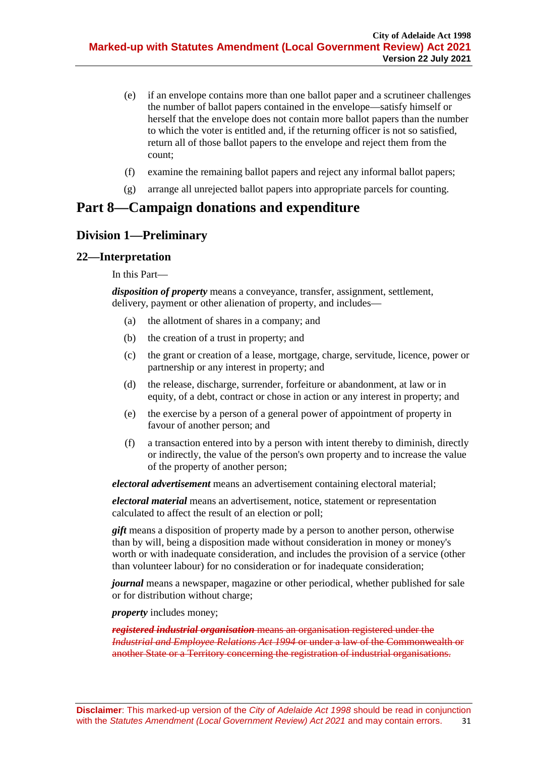- (e) if an envelope contains more than one ballot paper and a scrutineer challenges the number of ballot papers contained in the envelope—satisfy himself or herself that the envelope does not contain more ballot papers than the number to which the voter is entitled and, if the returning officer is not so satisfied, return all of those ballot papers to the envelope and reject them from the count;
- (f) examine the remaining ballot papers and reject any informal ballot papers;
- (g) arrange all unrejected ballot papers into appropriate parcels for counting.

# **Part 8—Campaign donations and expenditure**

# **Division 1—Preliminary**

#### <span id="page-30-0"></span>**22—Interpretation**

In this Part—

*disposition of property* means a conveyance, transfer, assignment, settlement, delivery, payment or other alienation of property, and includes—

- (a) the allotment of shares in a company; and
- (b) the creation of a trust in property; and
- (c) the grant or creation of a lease, mortgage, charge, servitude, licence, power or partnership or any interest in property; and
- (d) the release, discharge, surrender, forfeiture or abandonment, at law or in equity, of a debt, contract or chose in action or any interest in property; and
- (e) the exercise by a person of a general power of appointment of property in favour of another person; and
- (f) a transaction entered into by a person with intent thereby to diminish, directly or indirectly, the value of the person's own property and to increase the value of the property of another person;

*electoral advertisement* means an advertisement containing electoral material;

*electoral material* means an advertisement, notice, statement or representation calculated to affect the result of an election or poll;

*gift* means a disposition of property made by a person to another person, otherwise than by will, being a disposition made without consideration in money or money's worth or with inadequate consideration, and includes the provision of a service (other than volunteer labour) for no consideration or for inadequate consideration;

*journal* means a newspaper, magazine or other periodical, whether published for sale or for distribution without charge;

*property* includes money;

*registered industrial organisation* means an organisation registered under the *[Industrial and Employee Relations Act](http://www.legislation.sa.gov.au/index.aspx?action=legref&type=act&legtitle=Industrial%20and%20Employee%20Relations%20Act%201994) 1994* or under a law of the Commonwealth or another State or a Territory concerning the registration of industrial organisations.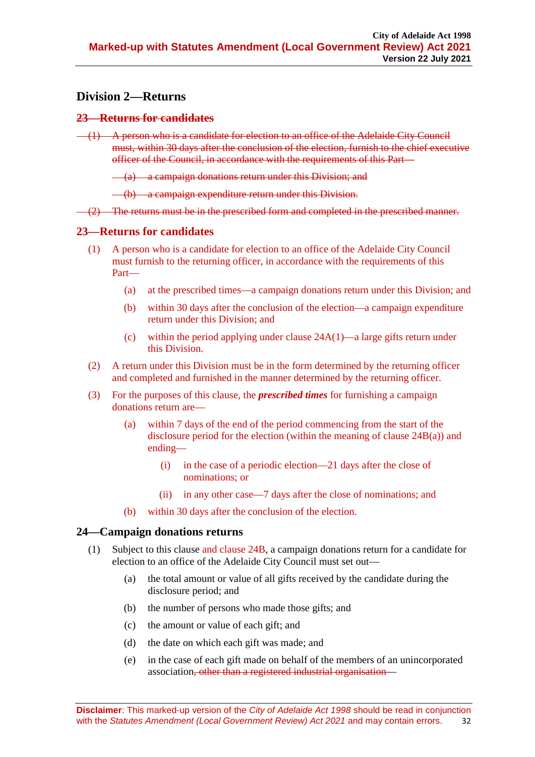# **Division 2—Returns**

### <span id="page-31-0"></span>**23—Returns for candidates**

 $(1)$  A person who is a candidate for election to an office of the Adelaide City Council must, within 30 days after the conclusion of the election, furnish to the chief executive officer of the Council, in accordance with the requirements of this Part—

 $(a)$  a campaign donations return under this Division; and

(b) a campaign expenditure return under this Division.

 $(2)$  The returns must be in the prescribed form and completed in the prescribed manner.

### **23—Returns for candidates**

- (1) A person who is a candidate for election to an office of the Adelaide City Council must furnish to the returning officer, in accordance with the requirements of this Part—
	- (a) at the prescribed times—a campaign donations return under this Division; and
	- (b) within 30 days after the conclusion of the election—a campaign expenditure return under this Division; and
	- (c) within the period applying under clause 24A(1)—a large gifts return under this Division.
- (2) A return under this Division must be in the form determined by the returning officer and completed and furnished in the manner determined by the returning officer.
- (3) For the purposes of this clause, the *prescribed times* for furnishing a campaign donations return are—
	- (a) within 7 days of the end of the period commencing from the start of the disclosure period for the election (within the meaning of clause 24B(a)) and ending—
		- (i) in the case of a periodic election—21 days after the close of nominations; or
		- (ii) in any other case—7 days after the close of nominations; and
	- (b) within 30 days after the conclusion of the election.

# <span id="page-31-2"></span><span id="page-31-1"></span>**24—Campaign donations returns**

- (1) Subject to this clause and clause 24B, a campaign donations return for a candidate for election to an office of the Adelaide City Council must set out—
	- (a) the total amount or value of all gifts received by the candidate during the disclosure period; and
	- (b) the number of persons who made those gifts; and
	- (c) the amount or value of each gift; and
	- (d) the date on which each gift was made; and
	- (e) in the case of each gift made on behalf of the members of an unincorporated association<del>, other than a registered industrial organisation</del>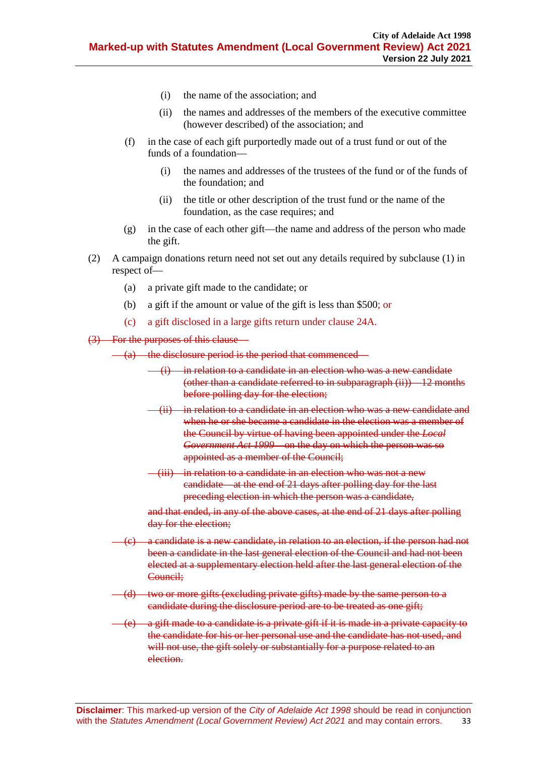- (i) the name of the association; and
- (ii) the names and addresses of the members of the executive committee (however described) of the association; and
- (f) in the case of each gift purportedly made out of a trust fund or out of the funds of a foundation—
	- (i) the names and addresses of the trustees of the fund or of the funds of the foundation; and
	- (ii) the title or other description of the trust fund or the name of the foundation, as the case requires; and
- (g) in the case of each other gift—the name and address of the person who made the gift.
- (2) A campaign donations return need not set out any details required by [subclause](#page-31-2) (1) in respect of—
	- (a) a private gift made to the candidate; or
	- (b) a gift if the amount or value of the gift is less than \$500; or
	- (c) a gift disclosed in a large gifts return under clause 24A.
- <span id="page-32-0"></span>(3) For the purposes of this clause—
	- $(a)$  the disclosure period is the period that commenced—
		- $(i)$  in relation to a candidate in an election who was a new candidate (other than a candidate referred to in [subparagraph](#page-32-0)  $(ii)$ )  $-12$  months before polling day for the election;
		- (ii) in relation to a candidate in an election who was a new candidate and when he or she became a candidate in the election was a member of the Council by virtue of having been appointed under the *[Local](http://www.legislation.sa.gov.au/index.aspx?action=legref&type=act&legtitle=Local%20Government%20Act%201999)  [Government Act](http://www.legislation.sa.gov.au/index.aspx?action=legref&type=act&legtitle=Local%20Government%20Act%201999) 1999*—on the day on which the person was so appointed as a member of the Council;
		- (iii) in relation to a candidate in an election who was not a new candidate—at the end of 21 days after polling day for the last preceding election in which the person was a candidate,

and that ended, in any of the above cases, at the end of 21 days after polling day for the election;

- a candidate is a new candidate, in relation to an election, if the person had not been a candidate in the last general election of the Council and had not been elected at a supplementary election held after the last general election of the Council;
- (d) two or more gifts (excluding private gifts) made by the same person to a candidate during the disclosure period are to be treated as one gift;
- a gift made to a candidate is a private gift if it is made in a private capacity to the candidate for his or her personal use and the candidate has not used, and will not use, the gift solely or substantially for a purpose related to an election.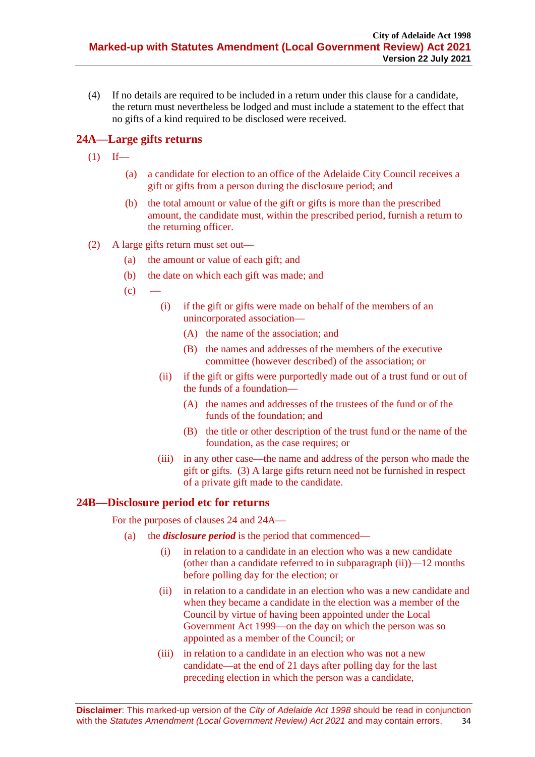(4) If no details are required to be included in a return under this clause for a candidate, the return must nevertheless be lodged and must include a statement to the effect that no gifts of a kind required to be disclosed were received.

# <span id="page-33-0"></span>**24A—Large gifts returns**

- $(1)$  If—
	- (a) a candidate for election to an office of the Adelaide City Council receives a gift or gifts from a person during the disclosure period; and
	- (b) the total amount or value of the gift or gifts is more than the prescribed amount, the candidate must, within the prescribed period, furnish a return to the returning officer.
- (2) A large gifts return must set out—
	- (a) the amount or value of each gift; and
	- (b) the date on which each gift was made; and
	- $(c)$
- (i) if the gift or gifts were made on behalf of the members of an unincorporated association—
	- (A) the name of the association; and
	- (B) the names and addresses of the members of the executive committee (however described) of the association; or
- (ii) if the gift or gifts were purportedly made out of a trust fund or out of the funds of a foundation—
	- (A) the names and addresses of the trustees of the fund or of the funds of the foundation; and
	- (B) the title or other description of the trust fund or the name of the foundation, as the case requires; or
- (iii) in any other case—the name and address of the person who made the gift or gifts. (3) A large gifts return need not be furnished in respect of a private gift made to the candidate.

# <span id="page-33-1"></span>**24B—Disclosure period etc for returns**

For the purposes of clauses 24 and 24A—

- (a) the *disclosure period* is the period that commenced—
	- (i) in relation to a candidate in an election who was a new candidate (other than a candidate referred to in subparagraph (ii))—12 months before polling day for the election; or
	- (ii) in relation to a candidate in an election who was a new candidate and when they became a candidate in the election was a member of the Council by virtue of having been appointed under the Local Government Act 1999—on the day on which the person was so appointed as a member of the Council; or
	- (iii) in relation to a candidate in an election who was not a new candidate—at the end of 21 days after polling day for the last preceding election in which the person was a candidate,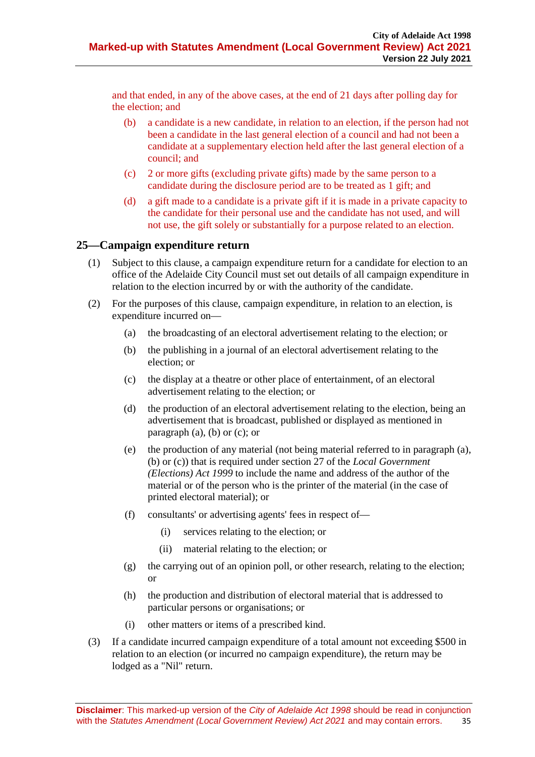and that ended, in any of the above cases, at the end of 21 days after polling day for the election; and

- (b) a candidate is a new candidate, in relation to an election, if the person had not been a candidate in the last general election of a council and had not been a candidate at a supplementary election held after the last general election of a council; and
- (c) 2 or more gifts (excluding private gifts) made by the same person to a candidate during the disclosure period are to be treated as 1 gift; and
- (d) a gift made to a candidate is a private gift if it is made in a private capacity to the candidate for their personal use and the candidate has not used, and will not use, the gift solely or substantially for a purpose related to an election.

### <span id="page-34-0"></span>**25—Campaign expenditure return**

- (1) Subject to this clause, a campaign expenditure return for a candidate for election to an office of the Adelaide City Council must set out details of all campaign expenditure in relation to the election incurred by or with the authority of the candidate.
- <span id="page-34-3"></span><span id="page-34-2"></span><span id="page-34-1"></span>(2) For the purposes of this clause, campaign expenditure, in relation to an election, is expenditure incurred on—
	- (a) the broadcasting of an electoral advertisement relating to the election; or
	- (b) the publishing in a journal of an electoral advertisement relating to the election; or
	- (c) the display at a theatre or other place of entertainment, of an electoral advertisement relating to the election; or
	- (d) the production of an electoral advertisement relating to the election, being an advertisement that is broadcast, published or displayed as mentioned in [paragraph](#page-34-1) (a), [\(b\)](#page-34-2) or [\(c\);](#page-34-3) or
	- (e) the production of any material (not being material referred to in [paragraph](#page-34-1) (a), [\(b\)](#page-34-2) or [\(c\)\)](#page-34-3) that is required under section 27 of the *[Local Government](http://www.legislation.sa.gov.au/index.aspx?action=legref&type=act&legtitle=Local%20Government%20(Elections)%20Act%201999)  [\(Elections\) Act](http://www.legislation.sa.gov.au/index.aspx?action=legref&type=act&legtitle=Local%20Government%20(Elections)%20Act%201999) 1999* to include the name and address of the author of the material or of the person who is the printer of the material (in the case of printed electoral material); or
	- (f) consultants' or advertising agents' fees in respect of—
		- (i) services relating to the election; or
		- (ii) material relating to the election; or
	- (g) the carrying out of an opinion poll, or other research, relating to the election; or
	- (h) the production and distribution of electoral material that is addressed to particular persons or organisations; or
	- (i) other matters or items of a prescribed kind.
- (3) If a candidate incurred campaign expenditure of a total amount not exceeding \$500 in relation to an election (or incurred no campaign expenditure), the return may be lodged as a "Nil" return.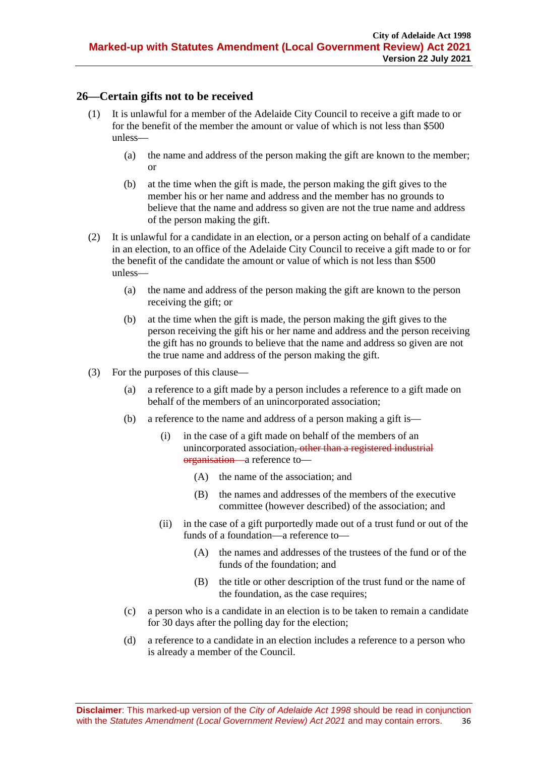# <span id="page-35-0"></span>**26—Certain gifts not to be received**

- (1) It is unlawful for a member of the Adelaide City Council to receive a gift made to or for the benefit of the member the amount or value of which is not less than \$500 unless—
	- (a) the name and address of the person making the gift are known to the member; or
	- (b) at the time when the gift is made, the person making the gift gives to the member his or her name and address and the member has no grounds to believe that the name and address so given are not the true name and address of the person making the gift.
- (2) It is unlawful for a candidate in an election, or a person acting on behalf of a candidate in an election, to an office of the Adelaide City Council to receive a gift made to or for the benefit of the candidate the amount or value of which is not less than \$500 unless—
	- (a) the name and address of the person making the gift are known to the person receiving the gift; or
	- (b) at the time when the gift is made, the person making the gift gives to the person receiving the gift his or her name and address and the person receiving the gift has no grounds to believe that the name and address so given are not the true name and address of the person making the gift.
- (3) For the purposes of this clause—
	- (a) a reference to a gift made by a person includes a reference to a gift made on behalf of the members of an unincorporated association;
	- (b) a reference to the name and address of a person making a gift is—
		- (i) in the case of a gift made on behalf of the members of an unincorporated association<del>, other than a registered industrial</del> organisation—a reference to—
			- (A) the name of the association; and
			- (B) the names and addresses of the members of the executive committee (however described) of the association; and
		- (ii) in the case of a gift purportedly made out of a trust fund or out of the funds of a foundation—a reference to—
			- (A) the names and addresses of the trustees of the fund or of the funds of the foundation; and
			- (B) the title or other description of the trust fund or the name of the foundation, as the case requires;
	- (c) a person who is a candidate in an election is to be taken to remain a candidate for 30 days after the polling day for the election;
	- (d) a reference to a candidate in an election includes a reference to a person who is already a member of the Council.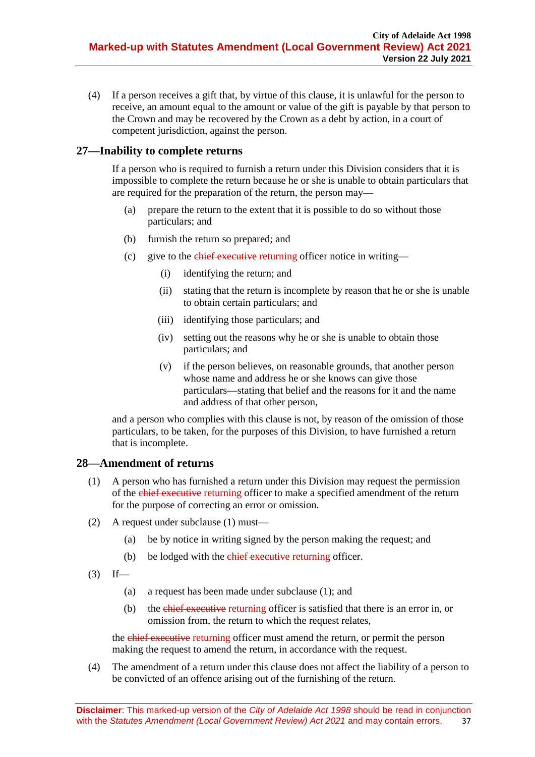(4) If a person receives a gift that, by virtue of this clause, it is unlawful for the person to receive, an amount equal to the amount or value of the gift is payable by that person to the Crown and may be recovered by the Crown as a debt by action, in a court of competent jurisdiction, against the person.

# <span id="page-36-0"></span>**27—Inability to complete returns**

If a person who is required to furnish a return under this Division considers that it is impossible to complete the return because he or she is unable to obtain particulars that are required for the preparation of the return, the person may—

- (a) prepare the return to the extent that it is possible to do so without those particulars; and
- (b) furnish the return so prepared; and
- (c) give to the chief executive returning officer notice in writing—
	- (i) identifying the return; and
	- (ii) stating that the return is incomplete by reason that he or she is unable to obtain certain particulars; and
	- (iii) identifying those particulars; and
	- (iv) setting out the reasons why he or she is unable to obtain those particulars; and
	- (v) if the person believes, on reasonable grounds, that another person whose name and address he or she knows can give those particulars—stating that belief and the reasons for it and the name and address of that other person,

and a person who complies with this clause is not, by reason of the omission of those particulars, to be taken, for the purposes of this Division, to have furnished a return that is incomplete.

# <span id="page-36-2"></span><span id="page-36-1"></span>**28—Amendment of returns**

- (1) A person who has furnished a return under this Division may request the permission of the chief executive returning officer to make a specified amendment of the return for the purpose of correcting an error or omission.
- (2) A request under [subclause](#page-36-2) (1) must—
	- (a) be by notice in writing signed by the person making the request; and
	- (b) be lodged with the chief executive returning officer.
- $(3)$  If—
	- (a) a request has been made under [subclause](#page-36-2) (1); and
	- (b) the chief executive returning officer is satisfied that there is an error in, or omission from, the return to which the request relates,

the chief executive returning officer must amend the return, or permit the person making the request to amend the return, in accordance with the request.

(4) The amendment of a return under this clause does not affect the liability of a person to be convicted of an offence arising out of the furnishing of the return.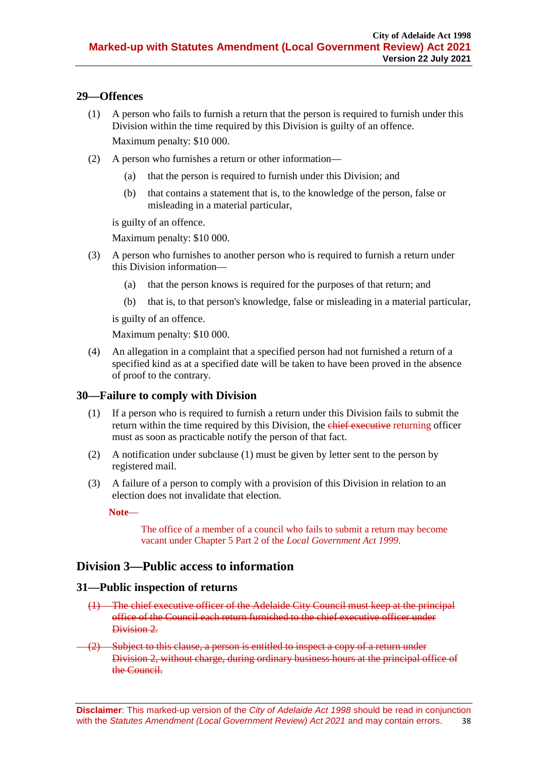# <span id="page-37-0"></span>**29—Offences**

- (1) A person who fails to furnish a return that the person is required to furnish under this Division within the time required by this Division is guilty of an offence. Maximum penalty: \$10 000.
- (2) A person who furnishes a return or other information—
	- (a) that the person is required to furnish under this Division; and
	- (b) that contains a statement that is, to the knowledge of the person, false or misleading in a material particular,

is guilty of an offence.

Maximum penalty: \$10 000.

- (3) A person who furnishes to another person who is required to furnish a return under this Division information—
	- (a) that the person knows is required for the purposes of that return; and
	- (b) that is, to that person's knowledge, false or misleading in a material particular,

is guilty of an offence.

Maximum penalty: \$10 000.

(4) An allegation in a complaint that a specified person had not furnished a return of a specified kind as at a specified date will be taken to have been proved in the absence of proof to the contrary.

# <span id="page-37-3"></span><span id="page-37-1"></span>**30—Failure to comply with Division**

- (1) If a person who is required to furnish a return under this Division fails to submit the return within the time required by this Division, the chief executive returning officer must as soon as practicable notify the person of that fact.
- (2) A notification under [subclause](#page-37-3) (1) must be given by letter sent to the person by registered mail.
- (3) A failure of a person to comply with a provision of this Division in relation to an election does not invalidate that election.

**Note**—

The office of a member of a council who fails to submit a return may become vacant under Chapter 5 Part 2 of the *[Local Government Act](http://www.legislation.sa.gov.au/index.aspx?action=legref&type=act&legtitle=Local%20Government%20Act%201999) 1999*.

# **Division 3—Public access to information**

#### <span id="page-37-2"></span>**31—Public inspection of returns**

- (1) The chief executive officer of the Adelaide City Council must keep at the principal office of the Council each return furnished to the chief executive officer under Division 2
- (2) Subject to this clause, a person is entitled to inspect a copy of a return under Division 2, without charge, during ordinary business hours at the principal office of the Council.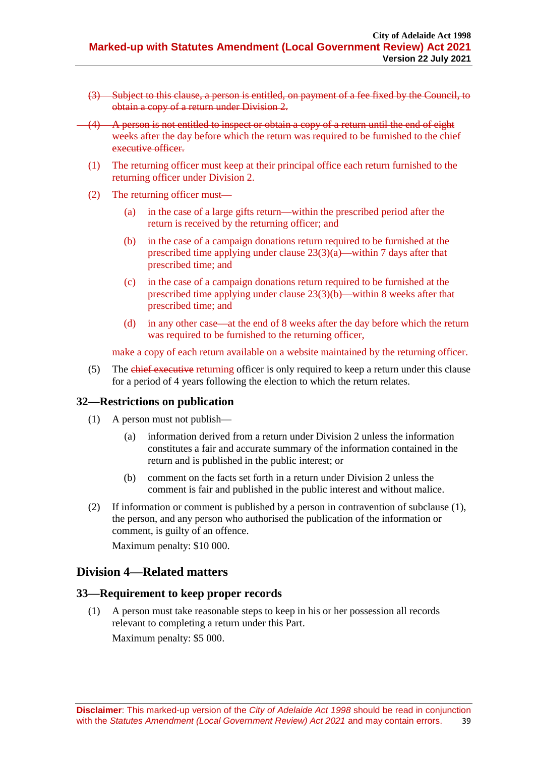- (3) Subject to this clause, a person is entitled, on payment of a fee fixed by the Council, to obtain a copy of a return under Division 2.
- (4) A person is not entitled to inspect or obtain a copy of a return until the end of eight weeks after the day before which the return was required to be furnished to the chief executive officer.
	- (1) The returning officer must keep at their principal office each return furnished to the returning officer under Division 2.
	- (2) The returning officer must—
		- (a) in the case of a large gifts return—within the prescribed period after the return is received by the returning officer; and
		- (b) in the case of a campaign donations return required to be furnished at the prescribed time applying under clause 23(3)(a)—within 7 days after that prescribed time; and
		- (c) in the case of a campaign donations return required to be furnished at the prescribed time applying under clause 23(3)(b)—within 8 weeks after that prescribed time; and
		- (d) in any other case—at the end of 8 weeks after the day before which the return was required to be furnished to the returning officer,

make a copy of each return available on a website maintained by the returning officer.

(5) The chief executive returning officer is only required to keep a return under this clause for a period of 4 years following the election to which the return relates.

# <span id="page-38-2"></span><span id="page-38-0"></span>**32—Restrictions on publication**

- (1) A person must not publish—
	- (a) information derived from a return under Division 2 unless the information constitutes a fair and accurate summary of the information contained in the return and is published in the public interest; or
	- (b) comment on the facts set forth in a return under Division 2 unless the comment is fair and published in the public interest and without malice.
- (2) If information or comment is published by a person in contravention of [subclause](#page-38-2) (1), the person, and any person who authorised the publication of the information or comment, is guilty of an offence.

Maximum penalty: \$10 000.

# **Division 4—Related matters**

#### <span id="page-38-3"></span><span id="page-38-1"></span>**33—Requirement to keep proper records**

(1) A person must take reasonable steps to keep in his or her possession all records relevant to completing a return under this Part.

Maximum penalty: \$5 000.